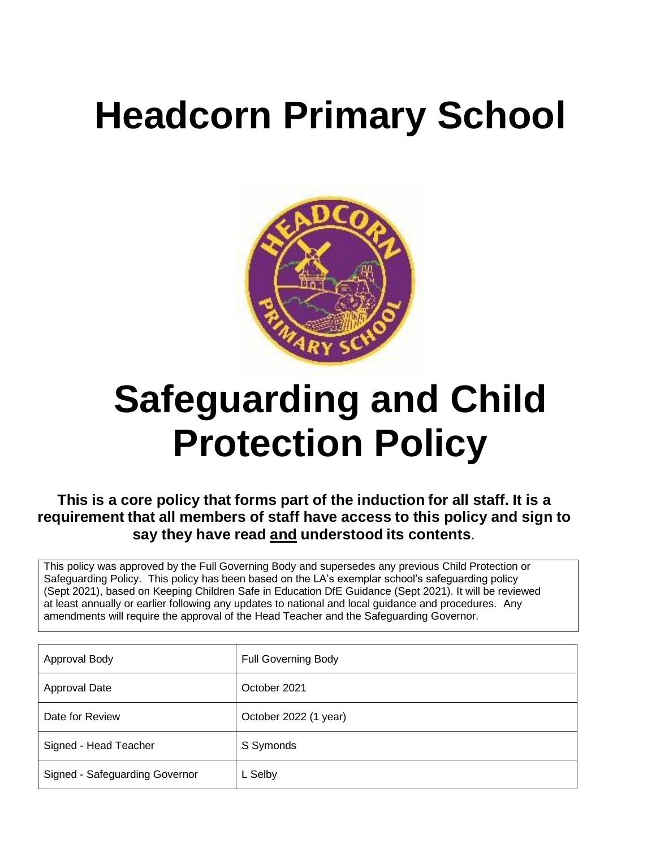# **Headcorn Primary School**



# **Safeguarding and Child Protection Policy**

**This is a core policy that forms part of the induction for all staff. It is a requirement that all members of staff have access to this policy and sign to say they have read and understood its contents**.

This policy was approved by the Full Governing Body and supersedes any previous Child Protection or Safeguarding Policy. This policy has been based on the LA's exemplar school's safeguarding policy (Sept 2021), based on Keeping Children Safe in Education DfE Guidance (Sept 2021). It will be reviewed at least annually or earlier following any updates to national and local guidance and procedures. Any amendments will require the approval of the Head Teacher and the Safeguarding Governor.

| Approval Body                  | <b>Full Governing Body</b> |
|--------------------------------|----------------------------|
| <b>Approval Date</b>           | October 2021               |
| Date for Review                | October 2022 (1 year)      |
| Signed - Head Teacher          | S Symonds                  |
| Signed - Safeguarding Governor | L Selby                    |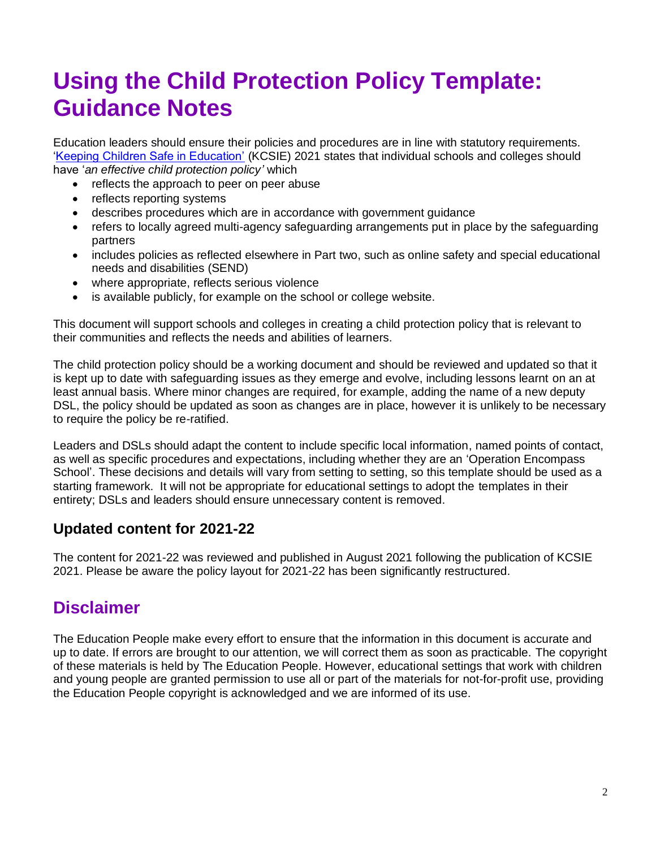# **Using the Child Protection Policy Template: Guidance Notes**

Education leaders should ensure their policies and procedures are in line with statutory requirements. ['Keeping Children Safe in Education'](https://www.gov.uk/government/publications/keeping-children-safe-in-education--2) (KCSIE) 2021 states that individual schools and colleges should have '*an effective child protection policy'* which

- reflects the approach to peer on peer abuse
- reflects reporting systems
- describes procedures which are in accordance with government guidance
- refers to locally agreed multi-agency safeguarding arrangements put in place by the safeguarding partners
- includes policies as reflected elsewhere in Part two, such as online safety and special educational needs and disabilities (SEND)
- where appropriate, reflects serious violence
- is available publicly, for example on the school or college website.

This document will support schools and colleges in creating a child protection policy that is relevant to their communities and reflects the needs and abilities of learners.

The child protection policy should be a working document and should be reviewed and updated so that it is kept up to date with safeguarding issues as they emerge and evolve, including lessons learnt on an at least annual basis. Where minor changes are required, for example, adding the name of a new deputy DSL, the policy should be updated as soon as changes are in place, however it is unlikely to be necessary to require the policy be re-ratified.

Leaders and DSLs should adapt the content to include specific local information, named points of contact, as well as specific procedures and expectations, including whether they are an 'Operation Encompass School'. These decisions and details will vary from setting to setting, so this template should be used as a starting framework. It will not be appropriate for educational settings to adopt the templates in their entirety; DSLs and leaders should ensure unnecessary content is removed.

# **Updated content for 2021-22**

The content for 2021-22 was reviewed and published in August 2021 following the publication of KCSIE 2021. Please be aware the policy layout for 2021-22 has been significantly restructured.

# **Disclaimer**

The Education People make every effort to ensure that the information in this document is accurate and up to date. If errors are brought to our attention, we will correct them as soon as practicable. The copyright of these materials is held by The Education People. However, educational settings that work with children and young people are granted permission to use all or part of the materials for not-for-profit use, providing the Education People copyright is acknowledged and we are informed of its use.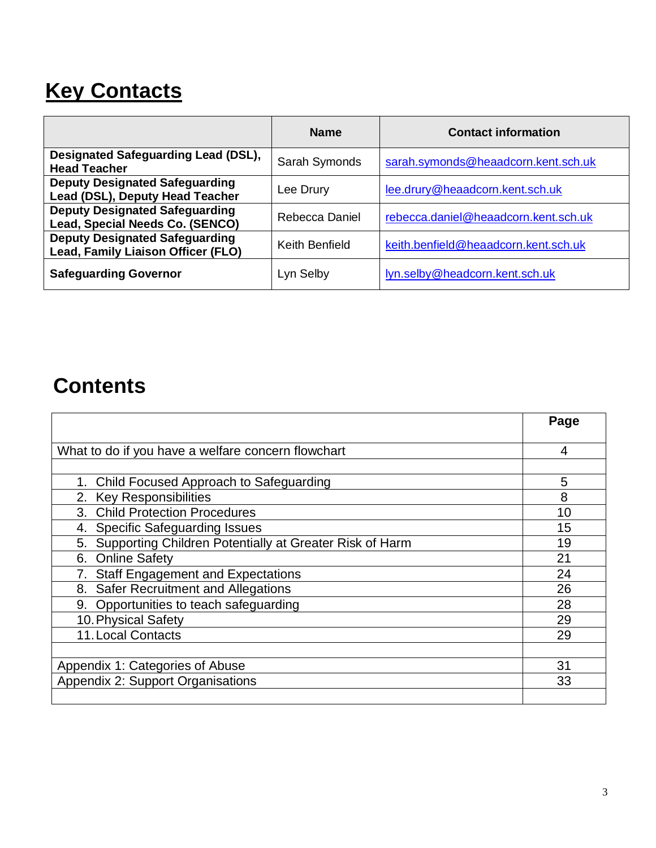# **Key Contacts**

|                                                                             | <b>Name</b>    | <b>Contact information</b>           |  |
|-----------------------------------------------------------------------------|----------------|--------------------------------------|--|
| Designated Safeguarding Lead (DSL),<br><b>Head Teacher</b>                  | Sarah Symonds  | sarah.symonds@heaadcorn.kent.sch.uk  |  |
| <b>Deputy Designated Safeguarding</b><br>Lead (DSL), Deputy Head Teacher    | Lee Drury      | lee.drury@heaadcorn.kent.sch.uk      |  |
| <b>Deputy Designated Safeguarding</b><br>Lead, Special Needs Co. (SENCO)    | Rebecca Daniel | rebecca.daniel@heaadcorn.kent.sch.uk |  |
| <b>Deputy Designated Safeguarding</b><br>Lead, Family Liaison Officer (FLO) | Keith Benfield | keith.benfield@heaadcorn.kent.sch.uk |  |
| <b>Safeguarding Governor</b>                                                | Lyn Selby      | lyn.selby@headcorn.kent.sch.uk       |  |

# **Contents**

|                                                            | Page |
|------------------------------------------------------------|------|
|                                                            |      |
| What to do if you have a welfare concern flowchart         | 4    |
|                                                            |      |
| 1. Child Focused Approach to Safeguarding                  | 5    |
| 2. Key Responsibilities                                    | 8    |
| 3. Child Protection Procedures                             | 10   |
| 4. Specific Safeguarding Issues                            | 15   |
| 5. Supporting Children Potentially at Greater Risk of Harm | 19   |
| 6. Online Safety                                           | 21   |
| 7. Staff Engagement and Expectations                       | 24   |
| 8. Safer Recruitment and Allegations                       | 26   |
| 9. Opportunities to teach safeguarding                     | 28   |
| 10. Physical Safety                                        | 29   |
| <b>11. Local Contacts</b>                                  | 29   |
|                                                            |      |
| Appendix 1: Categories of Abuse                            | 31   |
| Appendix 2: Support Organisations                          | 33   |
|                                                            |      |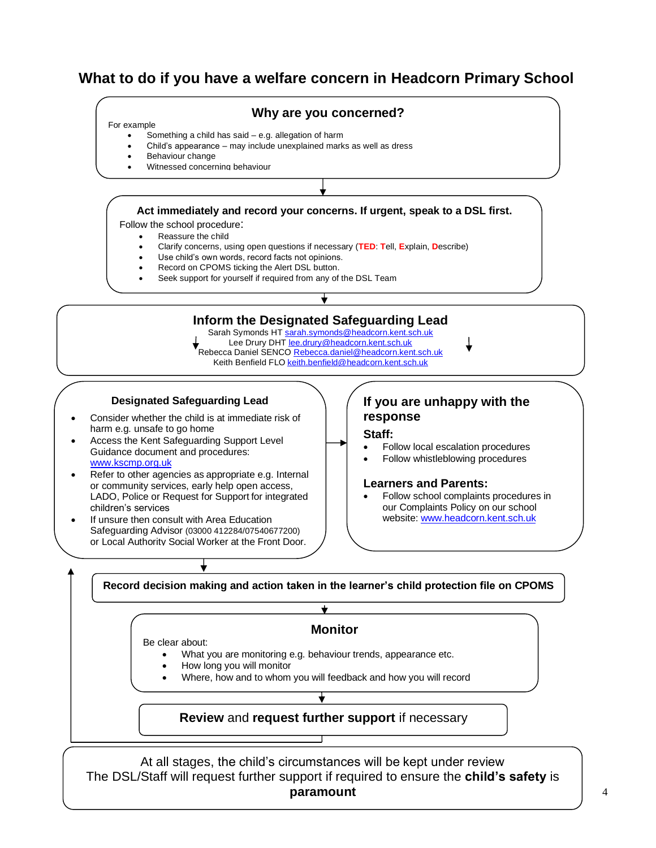# **What to do if you have a welfare concern in Headcorn Primary School**

#### **Why are you concerned?**

#### For example

- Something a child has said  $-$  e.g. allegation of harm
	- Child's appearance may include unexplained marks as well as dress
- Behaviour change

o

• Witnessed concerning behaviour

#### **Act immediately and record your concerns. If urgent, speak to a DSL first.**

- Follow the school procedure:
	- Reassure the child
	- Clarify concerns, using open questions if necessary (**TED**: **T**ell, **E**xplain, **D**escribe)
	- Use child's own words, record facts not opinions.
	- Record on CPOMS ticking the Alert DSL button.
	- Seek support for yourself if required from any of the DSL Team

#### **Inform the Designated Safeguarding Lead**

- Sarah Symonds HT [sarah.symonds@headcorn.kent.sch.uk](mailto:sarah.symonds@headcorn.kent.sch.uk)
- Lee Drury DHT [lee.drury@headcorn.kent.sch.uk](mailto:lee.drury@headcorn.kent.sch.uk) Rebecca Daniel SENCO Rebecca.daniel@headcorn.kent.sch.uk
	- Keith Benfield FL[O keith.benfield@headcorn.kent.sch.uk](mailto:keith.benfield@headcorn.kent.sch.uk)
- 

#### **Designated Safeguarding Lead**

- Consider whether the child is at immediate risk of harm e.g. unsafe to go home
- Access the Kent Safeguarding Support Level Guidance document and procedures: [www.kscmp.org.uk](http://www.kscmp.org.uk/)
- Refer to other agencies as appropriate e.g. Internal or community services, early help open access, LADO, Police or Request for Support for integrated children's services
- If unsure then consult with Area Education Safeguarding Advisor (03000 412284/07540677200) or Local Authority Social Worker at the Front Door.

#### **If you are unhappy with the response**

#### **Staff:**

- Follow local escalation procedures
- Follow whistleblowing procedures

#### **Learners and Parents:**

• Follow school complaints procedures in our Complaints Policy on our school website[: www.headcorn.kent.sch.uk](http://www.headcorn.kent.sch.uk/)



At all stages, the child's circumstances will be kept under review The DSL/Staff will request further support if required to ensure the **child's safety** is **paramount**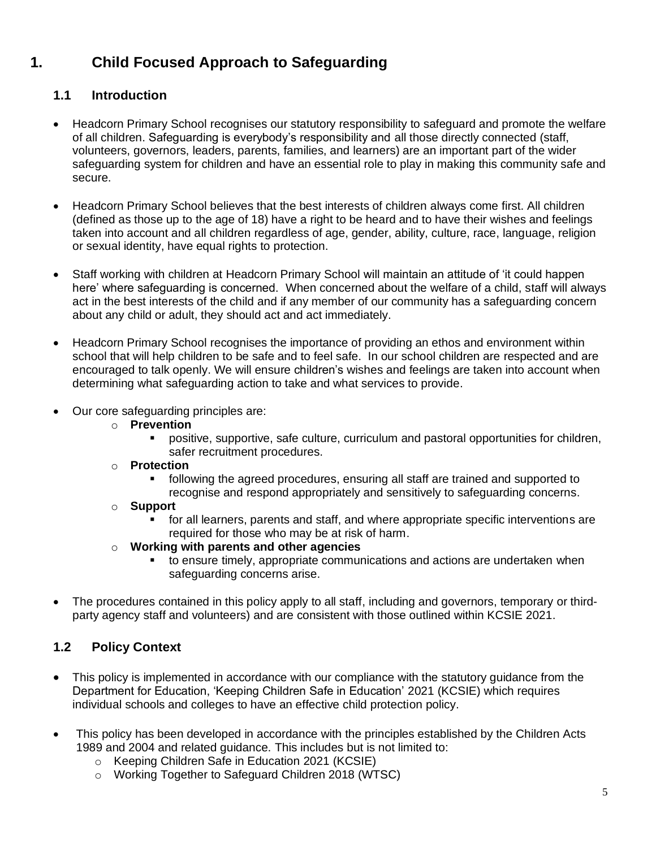# **1. Child Focused Approach to Safeguarding**

# **1.1 Introduction**

- Headcorn Primary School recognises our statutory responsibility to safeguard and promote the welfare of all children. Safeguarding is everybody's responsibility and all those directly connected (staff, volunteers, governors, leaders, parents, families, and learners) are an important part of the wider safeguarding system for children and have an essential role to play in making this community safe and secure.
- Headcorn Primary School believes that the best interests of children always come first. All children (defined as those up to the age of 18) have a right to be heard and to have their wishes and feelings taken into account and all children regardless of age, gender, ability, culture, race, language, religion or sexual identity, have equal rights to protection.
- Staff working with children at Headcorn Primary School will maintain an attitude of 'it could happen here' where safeguarding is concerned. When concerned about the welfare of a child, staff will always act in the best interests of the child and if any member of our community has a safeguarding concern about any child or adult, they should act and act immediately.
- Headcorn Primary School recognises the importance of providing an ethos and environment within school that will help children to be safe and to feel safe. In our school children are respected and are encouraged to talk openly. We will ensure children's wishes and feelings are taken into account when determining what safeguarding action to take and what services to provide.
- Our core safeguarding principles are:
	- o **Prevention**
		- positive, supportive, safe culture, curriculum and pastoral opportunities for children, safer recruitment procedures.
	- o **Protection**
		- following the agreed procedures, ensuring all staff are trained and supported to recognise and respond appropriately and sensitively to safeguarding concerns.
	- o **Support**
		- for all learners, parents and staff, and where appropriate specific interventions are required for those who may be at risk of harm.
	- o **Working with parents and other agencies**
		- to ensure timely, appropriate communications and actions are undertaken when safeguarding concerns arise.
- The procedures contained in this policy apply to all staff, including and governors, temporary or thirdparty agency staff and volunteers) and are consistent with those outlined within KCSIE 2021.

# **1.2 Policy Context**

- This policy is implemented in accordance with our compliance with the statutory quidance from the Department for Education, 'Keeping Children Safe in Education' 2021 (KCSIE) which requires individual schools and colleges to have an effective child protection policy.
- This policy has been developed in accordance with the principles established by the Children Acts 1989 and 2004 and related guidance. This includes but is not limited to:
	- o Keeping Children Safe in Education 2021 (KCSIE)
	- o Working Together to Safeguard Children 2018 (WTSC)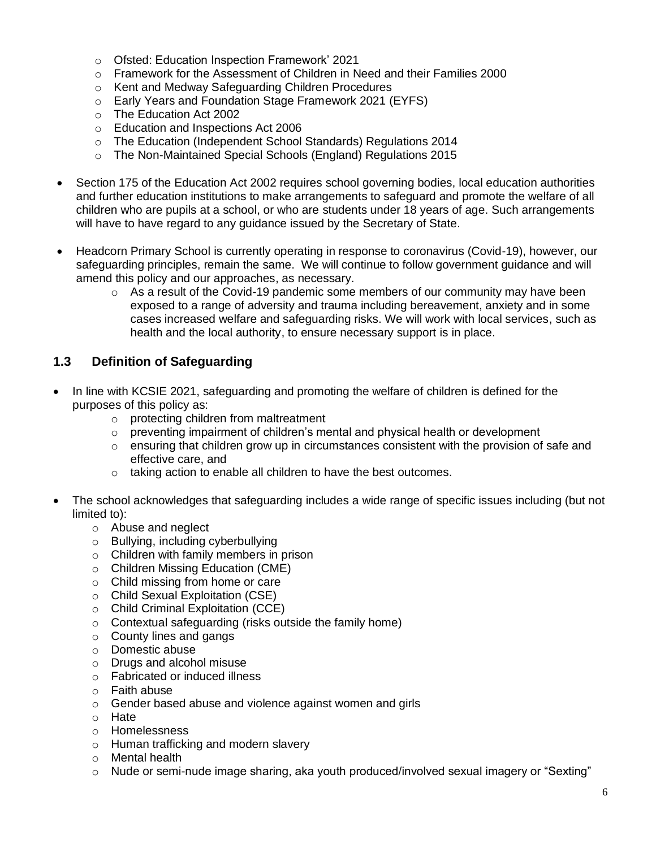- o Ofsted: Education Inspection Framework' 2021
- $\circ$  Framework for the Assessment of Children in Need and their Families 2000
- o Kent and Medway Safeguarding Children Procedures
- o Early Years and Foundation Stage Framework 2021 (EYFS)
- o The Education Act 2002
- o Education and Inspections Act 2006
- o The Education (Independent School Standards) Regulations 2014
- o The Non-Maintained Special Schools (England) Regulations 2015
- Section 175 of the Education Act 2002 requires school governing bodies, local education authorities and further education institutions to make arrangements to safeguard and promote the welfare of all children who are pupils at a school, or who are students under 18 years of age. Such arrangements will have to have regard to any guidance issued by the Secretary of State.
- Headcorn Primary School is currently operating in response to coronavirus (Covid-19), however, our safeguarding principles, remain the same. We will continue to follow government guidance and will amend this policy and our approaches, as necessary.
	- $\circ$  As a result of the Covid-19 pandemic some members of our community may have been exposed to a range of adversity and trauma including bereavement, anxiety and in some cases increased welfare and safeguarding risks. We will work with local services, such as health and the local authority, to ensure necessary support is in place.

# **1.3 Definition of Safeguarding**

- In line with KCSIE 2021, safeguarding and promoting the welfare of children is defined for the purposes of this policy as:
	- o protecting children from maltreatment
	- $\circ$  preventing impairment of children's mental and physical health or development
	- $\circ$  ensuring that children grow up in circumstances consistent with the provision of safe and effective care, and
	- o taking action to enable all children to have the best outcomes.
- The school acknowledges that safeguarding includes a wide range of specific issues including (but not limited to):
	- o Abuse and neglect
	- o Bullying, including cyberbullying
	- o Children with family members in prison
	- o Children Missing Education (CME)
	- o Child missing from home or care
	- o Child Sexual Exploitation (CSE)
	- o Child Criminal Exploitation (CCE)
	- o Contextual safeguarding (risks outside the family home)
	- o County lines and gangs
	- o Domestic abuse
	- o Drugs and alcohol misuse
	- o Fabricated or induced illness
	- o Faith abuse
	- o Gender based abuse and violence against women and girls
	- o Hate
	- o Homelessness
	- o Human trafficking and modern slavery
	- o Mental health
	- o Nude or semi-nude image sharing, aka youth produced/involved sexual imagery or "Sexting"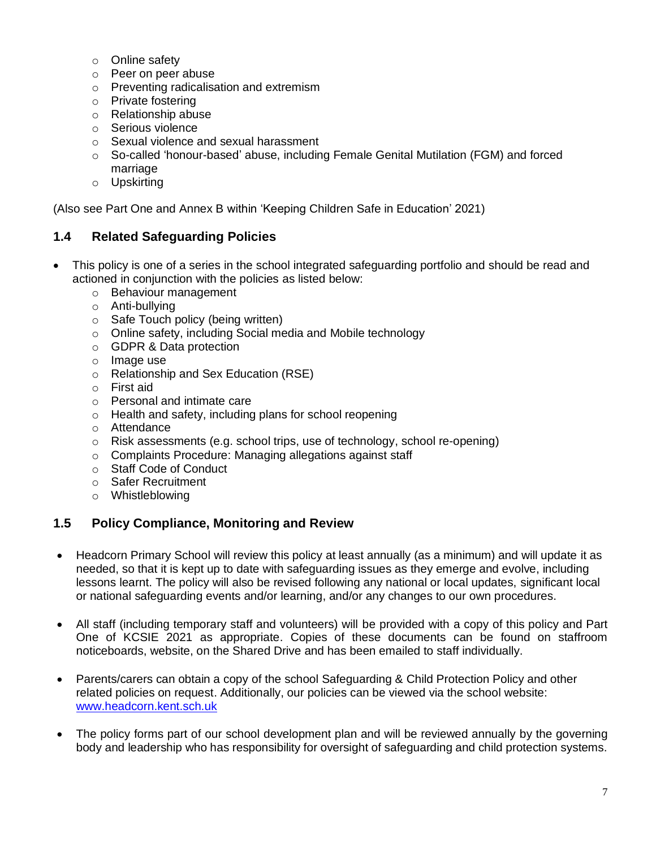- o Online safety
- o Peer on peer abuse
- o Preventing radicalisation and extremism
- o Private fostering
- o Relationship abuse
- o Serious violence
- o Sexual violence and sexual harassment
- o So-called 'honour-based' abuse, including Female Genital Mutilation (FGM) and forced marriage
- o Upskirting

(Also see Part One and Annex B within 'Keeping Children Safe in Education' 2021)

## **1.4 Related Safeguarding Policies**

- This policy is one of a series in the school integrated safeguarding portfolio and should be read and actioned in conjunction with the policies as listed below:
	- o Behaviour management
	- o Anti-bullying
	- o Safe Touch policy (being written)
	- o Online safety, including Social media and Mobile technology
	- o GDPR & Data protection
	- o Image use
	- o Relationship and Sex Education (RSE)
	- o First aid
	- o Personal and intimate care
	- o Health and safety, including plans for school reopening
	- o Attendance
	- o Risk assessments (e.g. school trips, use of technology, school re-opening)
	- o Complaints Procedure: Managing allegations against staff
	- o Staff Code of Conduct
	- o Safer Recruitment
	- o Whistleblowing

## **1.5 Policy Compliance, Monitoring and Review**

- Headcorn Primary School will review this policy at least annually (as a minimum) and will update it as needed, so that it is kept up to date with safeguarding issues as they emerge and evolve, including lessons learnt. The policy will also be revised following any national or local updates, significant local or national safeguarding events and/or learning, and/or any changes to our own procedures.
- All staff (including temporary staff and volunteers) will be provided with a copy of this policy and Part One of KCSIE 2021 as appropriate. Copies of these documents can be found on staffroom noticeboards, website, on the Shared Drive and has been emailed to staff individually.
- Parents/carers can obtain a copy of the school Safeguarding & Child Protection Policy and other related policies on request. Additionally, our policies can be viewed via the school website: [www.headcorn.kent.sch.uk](http://www.headcorn.kent.sch.uk/)
- The policy forms part of our school development plan and will be reviewed annually by the governing body and leadership who has responsibility for oversight of safeguarding and child protection systems.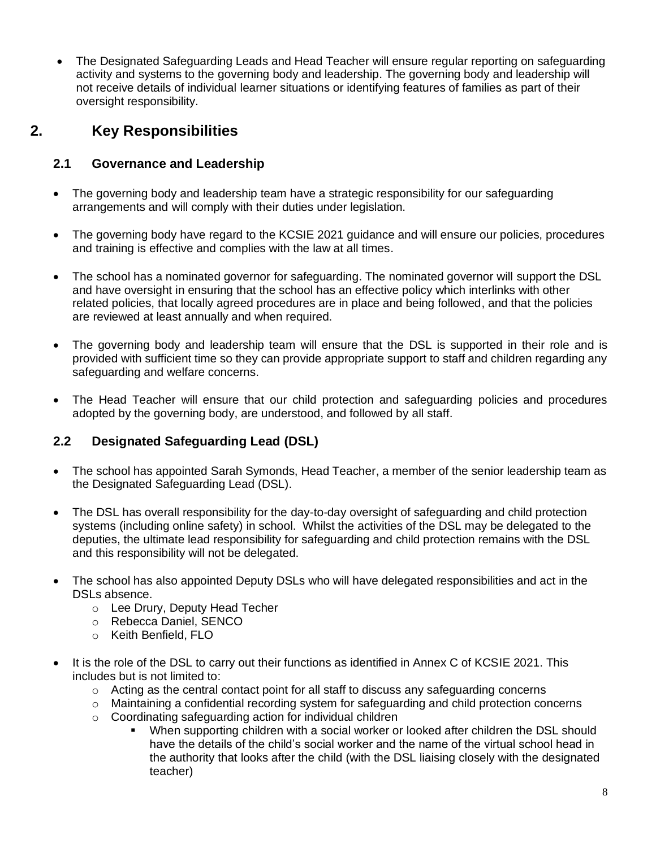• The Designated Safeguarding Leads and Head Teacher will ensure regular reporting on safeguarding activity and systems to the governing body and leadership. The governing body and leadership will not receive details of individual learner situations or identifying features of families as part of their oversight responsibility.

# **2. Key Responsibilities**

# **2.1 Governance and Leadership**

- The governing body and leadership team have a strategic responsibility for our safeguarding arrangements and will comply with their duties under legislation.
- The governing body have regard to the KCSIE 2021 guidance and will ensure our policies, procedures and training is effective and complies with the law at all times.
- The school has a nominated governor for safeguarding. The nominated governor will support the DSL and have oversight in ensuring that the school has an effective policy which interlinks with other related policies, that locally agreed procedures are in place and being followed, and that the policies are reviewed at least annually and when required.
- The governing body and leadership team will ensure that the DSL is supported in their role and is provided with sufficient time so they can provide appropriate support to staff and children regarding any safeguarding and welfare concerns.
- The Head Teacher will ensure that our child protection and safeguarding policies and procedures adopted by the governing body, are understood, and followed by all staff.

# **2.2 Designated Safeguarding Lead (DSL)**

- The school has appointed Sarah Symonds, Head Teacher, a member of the senior leadership team as the Designated Safeguarding Lead (DSL).
- The DSL has overall responsibility for the day-to-day oversight of safeguarding and child protection systems (including online safety) in school. Whilst the activities of the DSL may be delegated to the deputies, the ultimate lead responsibility for safeguarding and child protection remains with the DSL and this responsibility will not be delegated.
- The school has also appointed Deputy DSLs who will have delegated responsibilities and act in the DSLs absence.
	- o Lee Drury, Deputy Head Techer
	- o Rebecca Daniel, SENCO
	- o Keith Benfield, FLO
- It is the role of the DSL to carry out their functions as identified in Annex C of KCSIE 2021. This includes but is not limited to:
	- $\circ$  Acting as the central contact point for all staff to discuss any safeguarding concerns
	- o Maintaining a confidential recording system for safeguarding and child protection concerns
	- o Coordinating safeguarding action for individual children
		- When supporting children with a social worker or looked after children the DSL should have the details of the child's social worker and the name of the virtual school head in the authority that looks after the child (with the DSL liaising closely with the designated teacher)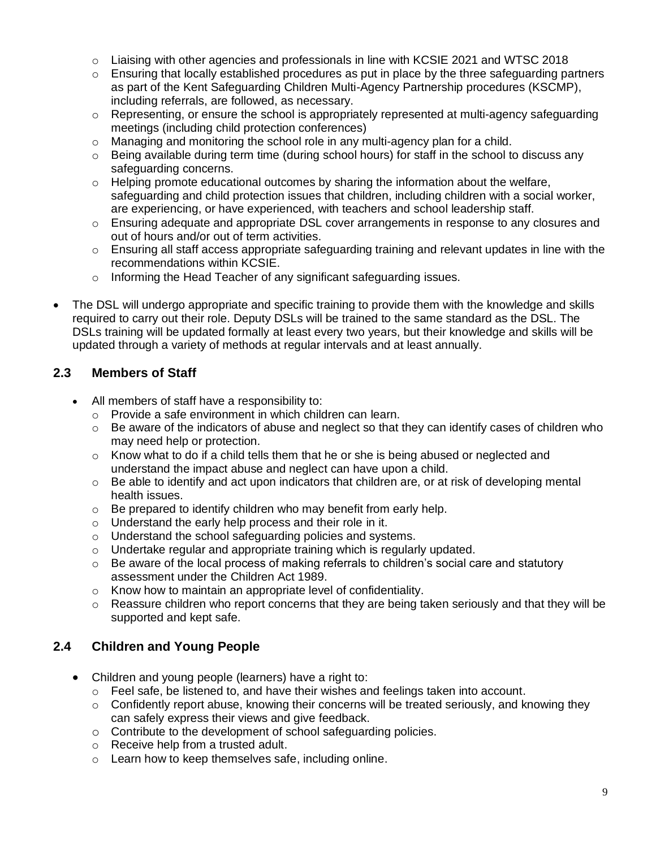- $\circ$  Liaising with other agencies and professionals in line with KCSIE 2021 and WTSC 2018
- $\circ$  Ensuring that locally established procedures as put in place by the three safeguarding partners as part of the Kent Safeguarding Children Multi-Agency Partnership procedures (KSCMP), including referrals, are followed, as necessary.
- $\circ$  Representing, or ensure the school is appropriately represented at multi-agency safeguarding meetings (including child protection conferences)
- o Managing and monitoring the school role in any multi-agency plan for a child.
- $\circ$  Being available during term time (during school hours) for staff in the school to discuss any safeguarding concerns.
- $\circ$  Helping promote educational outcomes by sharing the information about the welfare, safeguarding and child protection issues that children, including children with a social worker, are experiencing, or have experienced, with teachers and school leadership staff.
- o Ensuring adequate and appropriate DSL cover arrangements in response to any closures and out of hours and/or out of term activities.
- $\circ$  Ensuring all staff access appropriate safeguarding training and relevant updates in line with the recommendations within KCSIE.
- o Informing the Head Teacher of any significant safeguarding issues.
- The DSL will undergo appropriate and specific training to provide them with the knowledge and skills required to carry out their role. Deputy DSLs will be trained to the same standard as the DSL. The DSLs training will be updated formally at least every two years, but their knowledge and skills will be updated through a variety of methods at regular intervals and at least annually.

# **2.3 Members of Staff**

- All members of staff have a responsibility to:
	- o Provide a safe environment in which children can learn.
	- $\circ$  Be aware of the indicators of abuse and neglect so that they can identify cases of children who may need help or protection.
	- $\circ$  Know what to do if a child tells them that he or she is being abused or neglected and understand the impact abuse and neglect can have upon a child.
	- o Be able to identify and act upon indicators that children are, or at risk of developing mental health issues.
	- $\circ$  Be prepared to identify children who may benefit from early help.
	- o Understand the early help process and their role in it.
	- o Understand the school safeguarding policies and systems.
	- o Undertake regular and appropriate training which is regularly updated.
	- $\circ$  Be aware of the local process of making referrals to children's social care and statutory assessment under the Children Act 1989.
	- o Know how to maintain an appropriate level of confidentiality.
	- $\circ$  Reassure children who report concerns that they are being taken seriously and that they will be supported and kept safe.

# **2.4 Children and Young People**

- Children and young people (learners) have a right to:
	- $\circ$  Feel safe, be listened to, and have their wishes and feelings taken into account.
	- $\circ$  Confidently report abuse, knowing their concerns will be treated seriously, and knowing they can safely express their views and give feedback.
	- o Contribute to the development of school safeguarding policies.
	- o Receive help from a trusted adult.
	- o Learn how to keep themselves safe, including online.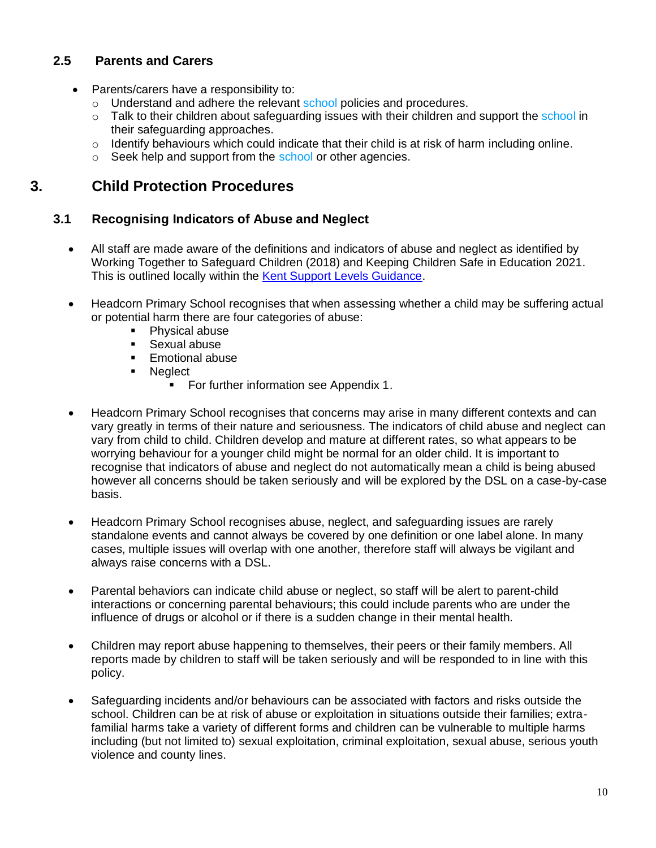# **2.5 Parents and Carers**

- Parents/carers have a responsibility to:
	- o Understand and adhere the relevant school policies and procedures.
	- $\circ$  Talk to their children about safeguarding issues with their children and support the school in their safeguarding approaches.
	- $\circ$  Identify behaviours which could indicate that their child is at risk of harm including online.
	- o Seek help and support from the school or other agencies.

# **3. Child Protection Procedures**

# **3.1 Recognising Indicators of Abuse and Neglect**

- All staff are made aware of the definitions and indicators of abuse and neglect as identified by Working Together to Safeguard Children (2018) and Keeping Children Safe in Education 2021. This is outlined locally within the [Kent Support Levels Guidance.](https://www.kscmp.org.uk/guidance/kent-support-levels-guidance)
- Headcorn Primary School recognises that when assessing whether a child may be suffering actual or potential harm there are four categories of abuse:
	- Physical abuse
	- Sexual abuse
	- Emotional abuse
	- Neglect
		- For further information see Appendix 1.
- Headcorn Primary School recognises that concerns may arise in many different contexts and can vary greatly in terms of their nature and seriousness. The indicators of child abuse and neglect can vary from child to child. Children develop and mature at different rates, so what appears to be worrying behaviour for a younger child might be normal for an older child. It is important to recognise that indicators of abuse and neglect do not automatically mean a child is being abused however all concerns should be taken seriously and will be explored by the DSL on a case-by-case basis.
- Headcorn Primary School recognises abuse, neglect, and safeguarding issues are rarely standalone events and cannot always be covered by one definition or one label alone. In many cases, multiple issues will overlap with one another, therefore staff will always be vigilant and always raise concerns with a DSL.
- Parental behaviors can indicate child abuse or neglect, so staff will be alert to parent-child interactions or concerning parental behaviours; this could include parents who are under the influence of drugs or alcohol or if there is a sudden change in their mental health.
- Children may report abuse happening to themselves, their peers or their family members. All reports made by children to staff will be taken seriously and will be responded to in line with this policy.
- Safeguarding incidents and/or behaviours can be associated with factors and risks outside the school. Children can be at risk of abuse or exploitation in situations outside their families; extrafamilial harms take a variety of different forms and children can be vulnerable to multiple harms including (but not limited to) sexual exploitation, criminal exploitation, sexual abuse, serious youth violence and county lines.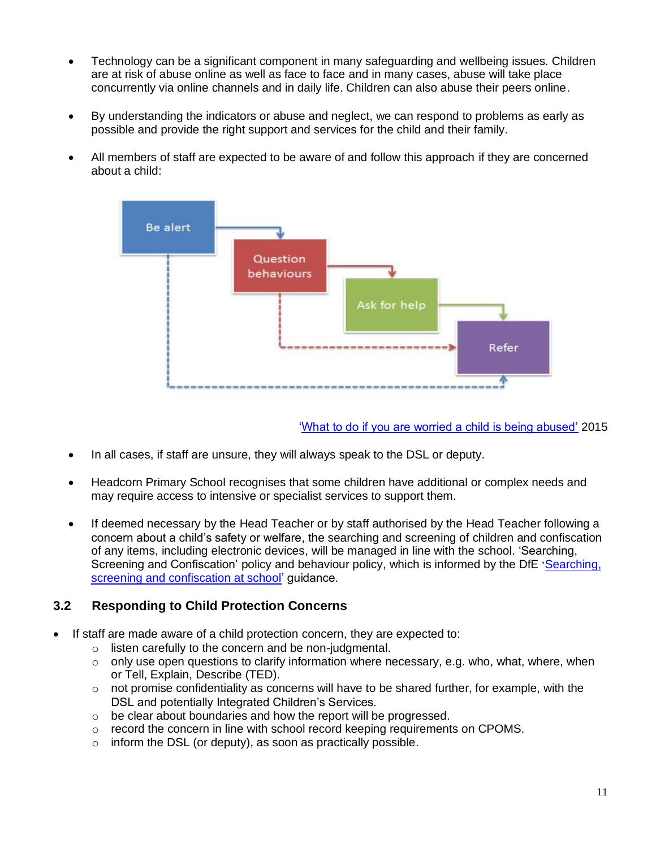- Technology can be a significant component in many safeguarding and wellbeing issues. Children are at risk of abuse online as well as face to face and in many cases, abuse will take place concurrently via online channels and in daily life. Children can also abuse their peers online.
- By understanding the indicators or abuse and neglect, we can respond to problems as early as possible and provide the right support and services for the child and their family.
- All members of staff are expected to be aware of and follow this approach if they are concerned about a child:



['What to do if you are worried a child is being abused'](https://www.gov.uk/government/publications/what-to-do-if-youre-worried-a-child-is-being-abused--2) 2015

- In all cases, if staff are unsure, they will always speak to the DSL or deputy.
- Headcorn Primary School recognises that some children have additional or complex needs and may require access to intensive or specialist services to support them.
- If deemed necessary by the Head Teacher or by staff authorised by the Head Teacher following a concern about a child's safety or welfare, the searching and screening of children and confiscation of any items, including electronic devices, will be managed in line with the school. 'Searching, Screening and Confiscation' policy and behaviour policy, which is informed by the DfE '[Searching,](https://www.gov.uk/government/publications/searching-screening-and-confiscation)  [screening and confiscation at school'](https://www.gov.uk/government/publications/searching-screening-and-confiscation) guidance.

# **3.2 Responding to Child Protection Concerns**

- If staff are made aware of a child protection concern, they are expected to:
	- o listen carefully to the concern and be non-judgmental.
	- o only use open questions to clarify information where necessary, e.g. who, what, where, when or Tell, Explain, Describe (TED).
	- o not promise confidentiality as concerns will have to be shared further, for example, with the DSL and potentially Integrated Children's Services.
	- o be clear about boundaries and how the report will be progressed.
	- $\circ$  record the concern in line with school record keeping requirements on CPOMS.
	- $\circ$  inform the DSL (or deputy), as soon as practically possible.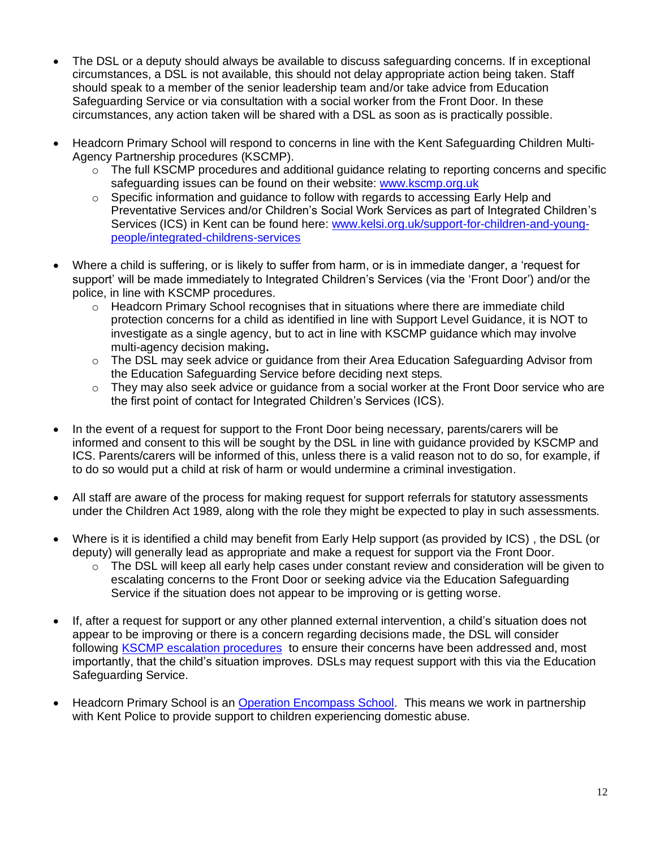- The DSL or a deputy should always be available to discuss safeguarding concerns. If in exceptional circumstances, a DSL is not available, this should not delay appropriate action being taken. Staff should speak to a member of the senior leadership team and/or take advice from Education Safeguarding Service or via consultation with a social worker from the Front Door. In these circumstances, any action taken will be shared with a DSL as soon as is practically possible.
- Headcorn Primary School will respond to concerns in line with the Kent Safeguarding Children Multi-Agency Partnership procedures (KSCMP).
	- $\circ$  The full KSCMP procedures and additional guidance relating to reporting concerns and specific safeguarding issues can be found on their website: [www.kscmp.org.uk](http://www.kscmp.org.uk/)
	- $\circ$  Specific information and quidance to follow with regards to accessing Early Help and Preventative Services and/or Children's Social Work Services as part of Integrated Children's Services (ICS) in Kent can be found here: [www.kelsi.org.uk/support-for-children-and-young](http://www.kelsi.org.uk/support-for-children-and-young-people/integrated-childrens-services)[people/integrated-childrens-services](http://www.kelsi.org.uk/support-for-children-and-young-people/integrated-childrens-services)
- Where a child is suffering, or is likely to suffer from harm, or is in immediate danger, a 'request for support' will be made immediately to Integrated Children's Services (via the 'Front Door') and/or the police, in line with KSCMP procedures.
	- o Headcorn Primary School recognises that in situations where there are immediate child protection concerns for a child as identified in line with Support Level Guidance, it is NOT to investigate as a single agency, but to act in line with KSCMP guidance which may involve multi-agency decision making**.**
	- $\circ$  The DSL may seek advice or guidance from their Area Education Safeguarding Advisor from the Education Safeguarding Service before deciding next steps.
	- $\circ$  They may also seek advice or guidance from a social worker at the Front Door service who are the first point of contact for Integrated Children's Services (ICS).
- In the event of a request for support to the Front Door being necessary, parents/carers will be informed and consent to this will be sought by the DSL in line with guidance provided by KSCMP and ICS. Parents/carers will be informed of this, unless there is a valid reason not to do so, for example, if to do so would put a child at risk of harm or would undermine a criminal investigation.
- All staff are aware of the process for making request for support referrals for statutory assessments under the Children Act 1989, along with the role they might be expected to play in such assessments.
- Where is it is identified a child may benefit from Early Help support (as provided by ICS) , the DSL (or deputy) will generally lead as appropriate and make a request for support via the Front Door.
	- $\circ$  The DSL will keep all early help cases under constant review and consideration will be given to escalating concerns to the Front Door or seeking advice via the Education Safeguarding Service if the situation does not appear to be improving or is getting worse.
- If, after a request for support or any other planned external intervention, a child's situation does not appear to be improving or there is a concern regarding decisions made, the DSL will consider following **KSCMP** escalation procedures to ensure their concerns have been addressed and, most importantly, that the child's situation improves. DSLs may request support with this via the Education Safeguarding Service.
- Headcorn Primary School is an [Operation Encompass School.](https://www.operationencompass.org/) This means we work in partnership with Kent Police to provide support to children experiencing domestic abuse.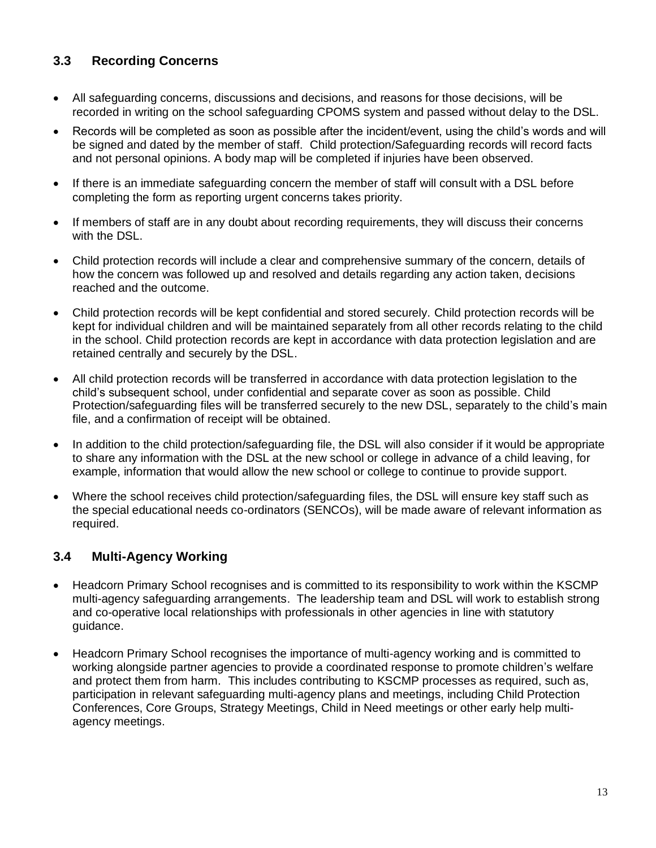# **3.3 Recording Concerns**

- All safeguarding concerns, discussions and decisions, and reasons for those decisions, will be recorded in writing on the school safeguarding CPOMS system and passed without delay to the DSL.
- Records will be completed as soon as possible after the incident/event, using the child's words and will be signed and dated by the member of staff. Child protection/Safeguarding records will record facts and not personal opinions. A body map will be completed if injuries have been observed.
- If there is an immediate safeguarding concern the member of staff will consult with a DSL before completing the form as reporting urgent concerns takes priority.
- If members of staff are in any doubt about recording requirements, they will discuss their concerns with the DSL.
- Child protection records will include a clear and comprehensive summary of the concern, details of how the concern was followed up and resolved and details regarding any action taken, decisions reached and the outcome.
- Child protection records will be kept confidential and stored securely. Child protection records will be kept for individual children and will be maintained separately from all other records relating to the child in the school. Child protection records are kept in accordance with data protection legislation and are retained centrally and securely by the DSL.
- All child protection records will be transferred in accordance with data protection legislation to the child's subsequent school, under confidential and separate cover as soon as possible. Child Protection/safeguarding files will be transferred securely to the new DSL, separately to the child's main file, and a confirmation of receipt will be obtained.
- In addition to the child protection/safeguarding file, the DSL will also consider if it would be appropriate to share any information with the DSL at the new school or college in advance of a child leaving, for example, information that would allow the new school or college to continue to provide support.
- Where the school receives child protection/safeguarding files, the DSL will ensure key staff such as the special educational needs co-ordinators (SENCOs), will be made aware of relevant information as required.

## **3.4 Multi-Agency Working**

- Headcorn Primary School recognises and is committed to its responsibility to work within the KSCMP multi-agency safeguarding arrangements. The leadership team and DSL will work to establish strong and co-operative local relationships with professionals in other agencies in line with statutory guidance.
- Headcorn Primary School recognises the importance of multi-agency working and is committed to working alongside partner agencies to provide a coordinated response to promote children's welfare and protect them from harm. This includes contributing to KSCMP processes as required, such as, participation in relevant safeguarding multi-agency plans and meetings, including Child Protection Conferences, Core Groups, Strategy Meetings, Child in Need meetings or other early help multiagency meetings.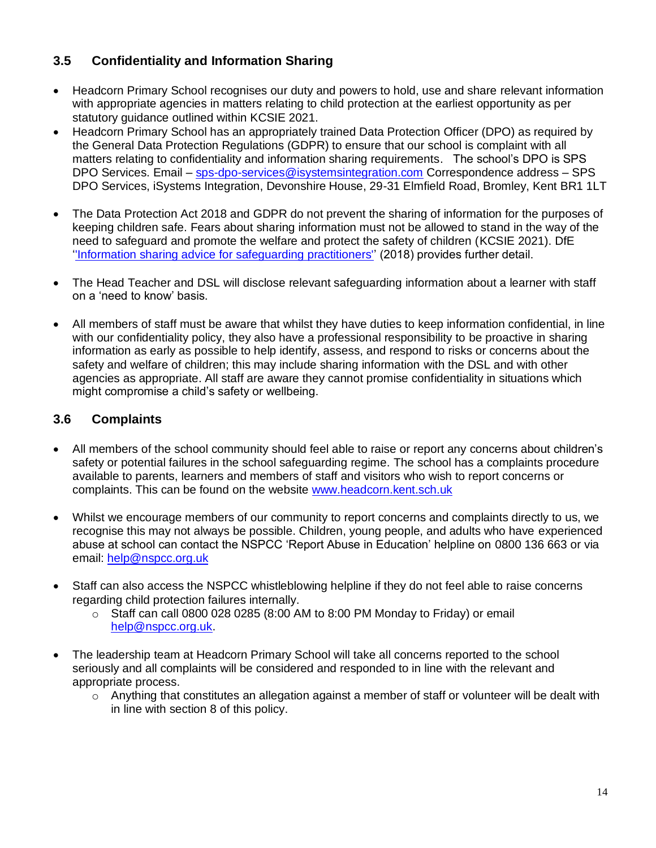# **3.5 Confidentiality and Information Sharing**

- Headcorn Primary School recognises our duty and powers to hold, use and share relevant information with appropriate agencies in matters relating to child protection at the earliest opportunity as per statutory guidance outlined within KCSIE 2021.
- Headcorn Primary School has an appropriately trained Data Protection Officer (DPO) as required by the General Data Protection Regulations (GDPR) to ensure that our school is complaint with all matters relating to confidentiality and information sharing requirements.The school's DPO is SPS DPO Services. Email – [sps-dpo-services@isystemsintegration.com](mailto:sps-dpo-services@isystemsintegration.com) Correspondence address – SPS DPO Services, iSystems Integration, Devonshire House, 29-31 Elmfield Road, Bromley, Kent BR1 1LT
- The Data Protection Act 2018 and GDPR do not prevent the sharing of information for the purposes of keeping children safe. Fears about sharing information must not be allowed to stand in the way of the need to safeguard and promote the welfare and protect the safety of children (KCSIE 2021). DfE [''Information sharing advice for safeguarding practitioners''](https://www.gov.uk/government/publications/safeguarding-practitioners-information-sharing-advice) (2018) provides further detail.
- The Head Teacher and DSL will disclose relevant safeguarding information about a learner with staff on a 'need to know' basis.
- All members of staff must be aware that whilst they have duties to keep information confidential, in line with our confidentiality policy, they also have a professional responsibility to be proactive in sharing information as early as possible to help identify, assess, and respond to risks or concerns about the safety and welfare of children; this may include sharing information with the DSL and with other agencies as appropriate. All staff are aware they cannot promise confidentiality in situations which might compromise a child's safety or wellbeing.

# **3.6 Complaints**

- All members of the school community should feel able to raise or report any concerns about children's safety or potential failures in the school safeguarding regime. The school has a complaints procedure available to parents, learners and members of staff and visitors who wish to report concerns or complaints. This can be found on the website [www.headcorn.kent.sch.uk](http://www.headcorn.kent.sch.uk/)
- Whilst we encourage members of our community to report concerns and complaints directly to us, we recognise this may not always be possible. Children, young people, and adults who have experienced abuse at school can contact the NSPCC 'Report Abuse in Education' helpline on [0800 136 663](tel:0800%20136%20663) or via email: [help@nspcc.org.uk](mailto:help@nspcc.org.uk)
- Staff can also access the NSPCC whistleblowing helpline if they do not feel able to raise concerns regarding child protection failures internally.
	- $\circ$  Staff can call 0800 028 0285 (8:00 AM to 8:00 PM Monday to Friday) or email [help@nspcc.org.uk.](mailto:help@nspcc.org.uk)
- The leadership team at Headcorn Primary School will take all concerns reported to the school seriously and all complaints will be considered and responded to in line with the relevant and appropriate process.
	- $\circ$  Anything that constitutes an allegation against a member of staff or volunteer will be dealt with in line with section 8 of this policy.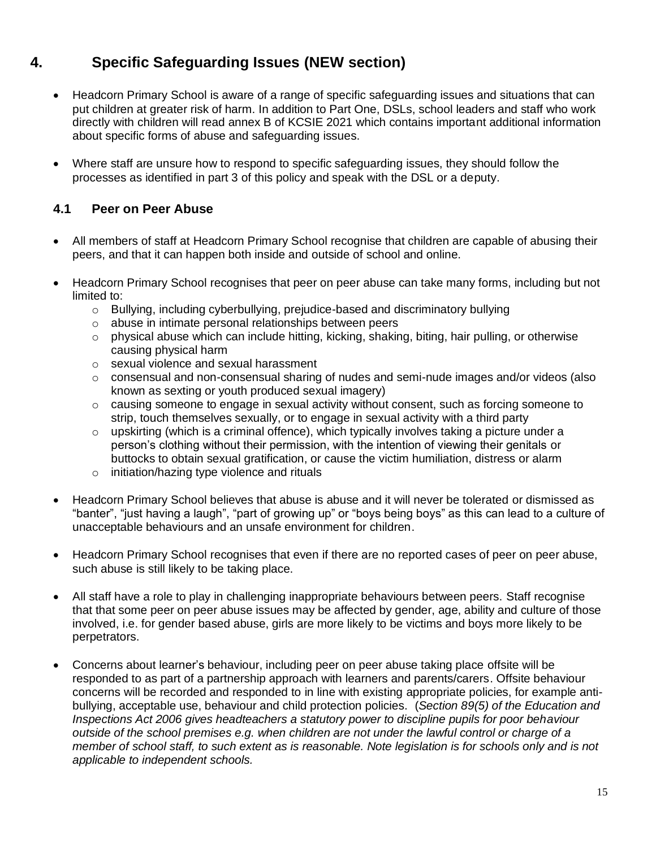# **4. Specific Safeguarding Issues (NEW section)**

- Headcorn Primary School is aware of a range of specific safeguarding issues and situations that can put children at greater risk of harm. In addition to Part One, DSLs, school leaders and staff who work directly with children will read annex B of KCSIE 2021 which contains important additional information about specific forms of abuse and safeguarding issues.
- Where staff are unsure how to respond to specific safeguarding issues, they should follow the processes as identified in part 3 of this policy and speak with the DSL or a deputy.

# **4.1 Peer on Peer Abuse**

- All members of staff at Headcorn Primary School recognise that children are capable of abusing their peers, and that it can happen both inside and outside of school and online.
- Headcorn Primary School recognises that peer on peer abuse can take many forms, including but not limited to:
	- o Bullying, including cyberbullying, prejudice-based and discriminatory bullying
	- o abuse in intimate personal relationships between peers
	- $\circ$  physical abuse which can include hitting, kicking, shaking, biting, hair pulling, or otherwise causing physical harm
	- o sexual violence and sexual harassment
	- o consensual and non-consensual sharing of nudes and semi-nude images and/or videos (also known as sexting or youth produced sexual imagery)
	- $\circ$  causing someone to engage in sexual activity without consent, such as forcing someone to strip, touch themselves sexually, or to engage in sexual activity with a third party
	- o upskirting (which is a criminal offence), which typically involves taking a picture under a person's clothing without their permission, with the intention of viewing their genitals or buttocks to obtain sexual gratification, or cause the victim humiliation, distress or alarm
	- o initiation/hazing type violence and rituals
- Headcorn Primary School believes that abuse is abuse and it will never be tolerated or dismissed as "banter", "just having a laugh", "part of growing up" or "boys being boys" as this can lead to a culture of unacceptable behaviours and an unsafe environment for children.
- Headcorn Primary School recognises that even if there are no reported cases of peer on peer abuse, such abuse is still likely to be taking place.
- All staff have a role to play in challenging inappropriate behaviours between peers. Staff recognise that that some peer on peer abuse issues may be affected by gender, age, ability and culture of those involved, i.e. for gender based abuse, girls are more likely to be victims and boys more likely to be perpetrators.
- Concerns about learner's behaviour, including peer on peer abuse taking place offsite will be responded to as part of a partnership approach with learners and parents/carers. Offsite behaviour concerns will be recorded and responded to in line with existing appropriate policies, for example antibullying, acceptable use, behaviour and child protection policies. (*Section 89(5) of the Education and Inspections Act 2006 gives headteachers a statutory power to discipline pupils for poor behaviour outside of the school premises e.g. when children are not under the lawful control or charge of a member of school staff, to such extent as is reasonable. Note legislation is for schools only and is not applicable to independent schools.*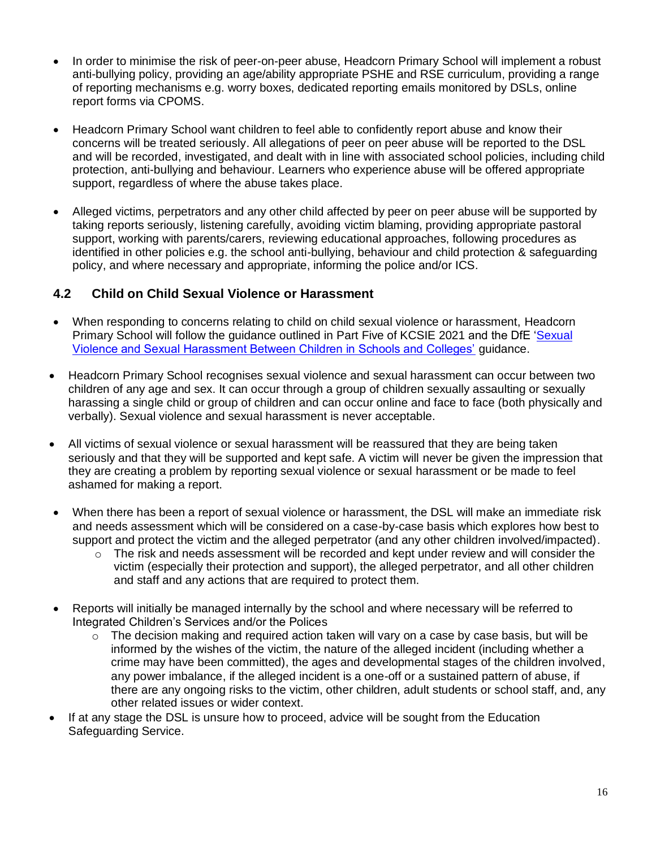- In order to minimise the risk of peer-on-peer abuse, Headcorn Primary School will implement a robust anti-bullying policy, providing an age/ability appropriate PSHE and RSE curriculum, providing a range of reporting mechanisms e.g. worry boxes, dedicated reporting emails monitored by DSLs, online report forms via CPOMS.
- Headcorn Primary School want children to feel able to confidently report abuse and know their concerns will be treated seriously. All allegations of peer on peer abuse will be reported to the DSL and will be recorded, investigated, and dealt with in line with associated school policies, including child protection, anti-bullying and behaviour. Learners who experience abuse will be offered appropriate support, regardless of where the abuse takes place.
- Alleged victims, perpetrators and any other child affected by peer on peer abuse will be supported by taking reports seriously, listening carefully, avoiding victim blaming, providing appropriate pastoral support, working with parents/carers, reviewing educational approaches, following procedures as identified in other policies e.g. the school anti-bullying, behaviour and child protection & safeguarding policy, and where necessary and appropriate, informing the police and/or ICS*.*

# **4.2 Child on Child Sexual Violence or Harassment**

- When responding to concerns relating to child on child sexual violence or harassment, Headcorn Primary School will follow the guidance outlined in Part Five of KCSIE 2021 and the DfE 'Sexual [Violence and Sexual Harassment Between Children in Schools and Colleges'](https://www.gov.uk/government/publications/sexual-violence-and-sexual-harassment-between-children-in-schools-and-colleges) guidance.
- Headcorn Primary School recognises sexual violence and sexual harassment can occur between two children of any age and sex. It can occur through a group of children sexually assaulting or sexually harassing a single child or group of children and can occur online and face to face (both physically and verbally). Sexual violence and sexual harassment is never acceptable.
- All victims of sexual violence or sexual harassment will be reassured that they are being taken seriously and that they will be supported and kept safe. A victim will never be given the impression that they are creating a problem by reporting sexual violence or sexual harassment or be made to feel ashamed for making a report.
- When there has been a report of sexual violence or harassment, the DSL will make an immediate risk and needs assessment which will be considered on a case-by-case basis which explores how best to support and protect the victim and the alleged perpetrator (and any other children involved/impacted).
	- $\circ$  The risk and needs assessment will be recorded and kept under review and will consider the victim (especially their protection and support), the alleged perpetrator, and all other children and staff and any actions that are required to protect them.
- Reports will initially be managed internally by the school and where necessary will be referred to Integrated Children's Services and/or the Polices
	- $\circ$  The decision making and required action taken will vary on a case by case basis, but will be informed by the wishes of the victim, the nature of the alleged incident (including whether a crime may have been committed), the ages and developmental stages of the children involved, any power imbalance, if the alleged incident is a one-off or a sustained pattern of abuse, if there are any ongoing risks to the victim, other children, adult students or school staff, and, any other related issues or wider context.
- If at any stage the DSL is unsure how to proceed, advice will be sought from the Education Safeguarding Service.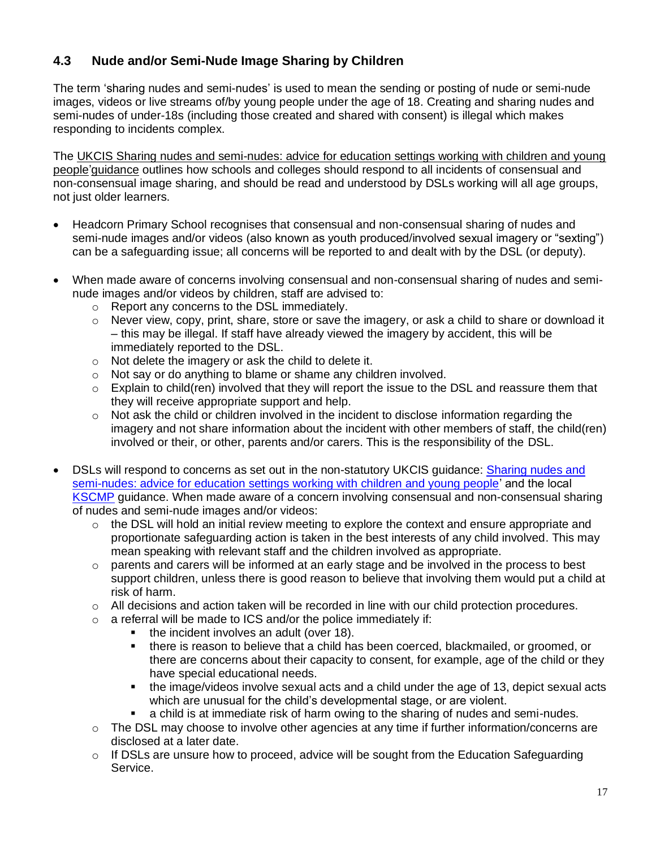# **4.3 Nude and/or Semi-Nude Image Sharing by Children**

The term 'sharing nudes and semi-nudes' is used to mean the sending or posting of nude or semi-nude images, videos or live streams of/by young people under the age of 18. Creating and sharing nudes and semi-nudes of under-18s (including those created and shared with consent) is illegal which makes responding to incidents complex.

The UKCIS [Sharing nudes and semi-nudes: advice for education settings working with children and young](https://www.gov.uk/government/publications/sharing-nudes-and-semi-nudes-advice-for-education-settings-working-with-children-and-young-people)  [people'](https://www.gov.uk/government/publications/sharing-nudes-and-semi-nudes-advice-for-education-settings-working-with-children-and-young-people)guidance outlines how schools and colleges should respond to all incidents of consensual and non-consensual image sharing, and should be read and understood by DSLs working will all age groups, not just older learners.

- Headcorn Primary School recognises that consensual and non-consensual sharing of nudes and semi-nude images and/or videos (also known as youth produced/involved sexual imagery or "sexting") can be a safeguarding issue; all concerns will be reported to and dealt with by the DSL (or deputy).
- When made aware of concerns involving consensual and non-consensual sharing of nudes and seminude images and/or videos by children, staff are advised to:
	- o Report any concerns to the DSL immediately.
	- $\circ$  Never view, copy, print, share, store or save the imagery, or ask a child to share or download it – this may be illegal. If staff have already viewed the imagery by accident, this will be immediately reported to the DSL.
	- o Not delete the imagery or ask the child to delete it.
	- o Not say or do anything to blame or shame any children involved.
	- o Explain to child(ren) involved that they will report the issue to the DSL and reassure them that they will receive appropriate support and help.
	- $\circ$  Not ask the child or children involved in the incident to disclose information regarding the imagery and not share information about the incident with other members of staff, the child(ren) involved or their, or other, parents and/or carers. This is the responsibility of the DSL.
- DSLs will respond to concerns as set out in the non-statutory UKCIS guidance: [Sharing nudes and](https://www.gov.uk/government/publications/sharing-nudes-and-semi-nudes-advice-for-education-settings-working-with-children-and-young-people)  [semi-nudes: advice for education settings working with children and young people'](https://www.gov.uk/government/publications/sharing-nudes-and-semi-nudes-advice-for-education-settings-working-with-children-and-young-people) and the local [KSCMP](http://www.kscb.org.uk/guidance/online-safety) guidance. When made aware of a concern involving consensual and non-consensual sharing of nudes and semi-nude images and/or videos:
	- o the DSL will hold an initial review meeting to explore the context and ensure appropriate and proportionate safeguarding action is taken in the best interests of any child involved. This may mean speaking with relevant staff and the children involved as appropriate.
	- $\circ$  parents and carers will be informed at an early stage and be involved in the process to best support children, unless there is good reason to believe that involving them would put a child at risk of harm.
	- $\circ$  All decisions and action taken will be recorded in line with our child protection procedures.
	- $\circ$  a referral will be made to ICS and/or the police immediately if:
		- the incident involves an adult (over 18).
		- there is reason to believe that a child has been coerced, blackmailed, or groomed, or there are concerns about their capacity to consent, for example, age of the child or they have special educational needs.
		- the image/videos involve sexual acts and a child under the age of 13, depict sexual acts which are unusual for the child's developmental stage, or are violent.
		- a child is at immediate risk of harm owing to the sharing of nudes and semi-nudes.
	- $\circ$  The DSL may choose to involve other agencies at any time if further information/concerns are disclosed at a later date.
	- o If DSLs are unsure how to proceed, advice will be sought from the Education Safeguarding Service.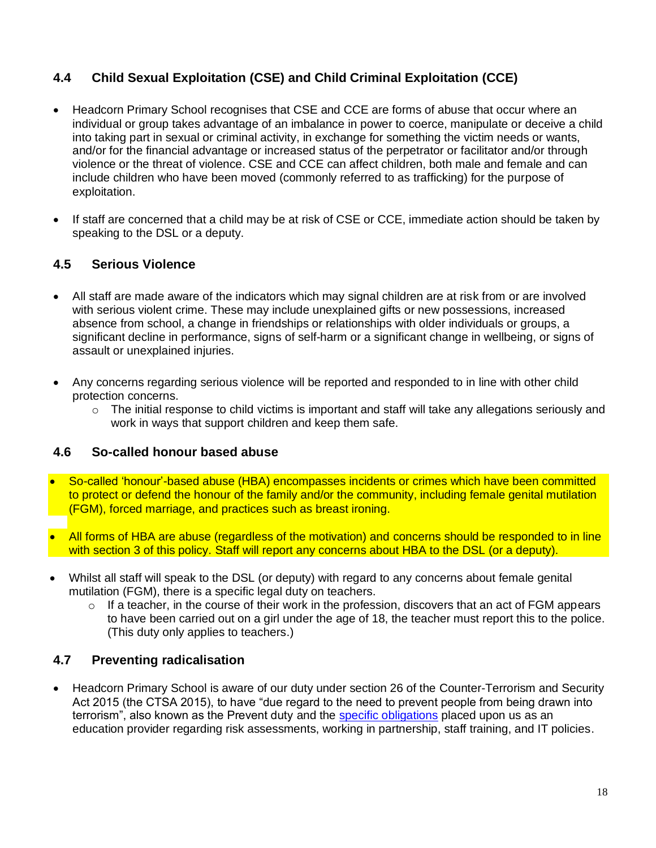# **4.4 Child Sexual Exploitation (CSE) and Child Criminal Exploitation (CCE)**

- Headcorn Primary School recognises that CSE and CCE are forms of abuse that occur where an individual or group takes advantage of an imbalance in power to coerce, manipulate or deceive a child into taking part in sexual or criminal activity, in exchange for something the victim needs or wants, and/or for the financial advantage or increased status of the perpetrator or facilitator and/or through violence or the threat of violence. CSE and CCE can affect children, both male and female and can include children who have been moved (commonly referred to as trafficking) for the purpose of exploitation.
- If staff are concerned that a child may be at risk of CSE or CCE, immediate action should be taken by speaking to the DSL or a deputy.

# **4.5 Serious Violence**

- All staff are made aware of the indicators which may signal children are at risk from or are involved with serious violent crime. These may include unexplained gifts or new possessions, increased absence from school, a change in friendships or relationships with older individuals or groups, a significant decline in performance, signs of self-harm or a significant change in wellbeing, or signs of assault or unexplained injuries.
- Any concerns regarding serious violence will be reported and responded to in line with other child protection concerns.
	- $\circ$  The initial response to child victims is important and staff will take any allegations seriously and work in ways that support children and keep them safe.

## **4.6 So-called honour based abuse**

- So-called 'honour'-based abuse (HBA) encompasses incidents or crimes which have been committed to protect or defend the honour of the family and/or the community, including female genital mutilation (FGM), forced marriage, and practices such as breast ironing.
- All forms of HBA are abuse (regardless of the motivation) and concerns should be responded to in line with section 3 of this policy. Staff will report any concerns about HBA to the DSL (or a deputy).
- Whilst all staff will speak to the DSL (or deputy) with regard to any concerns about female genital mutilation (FGM), there is a specific legal duty on teachers.
	- $\circ$  If a teacher, in the course of their work in the profession, discovers that an act of FGM appears to have been carried out on a girl under the age of 18, the teacher must report this to the police. (This duty only applies to teachers.)

## **4.7 Preventing radicalisation**

• Headcorn Primary School is aware of our duty under section 26 of the Counter-Terrorism and Security Act 2015 (the CTSA 2015), to have "due regard to the need to prevent people from being drawn into terrorism", also known as the Prevent duty and the [specific obligations](https://www.gov.uk/government/publications/prevent-duty-guidance/prevent-duty-guidance-for-further-education-institutions-in-england-and-wales) placed upon us as an education provider regarding risk assessments, working in partnership, staff training, and IT policies.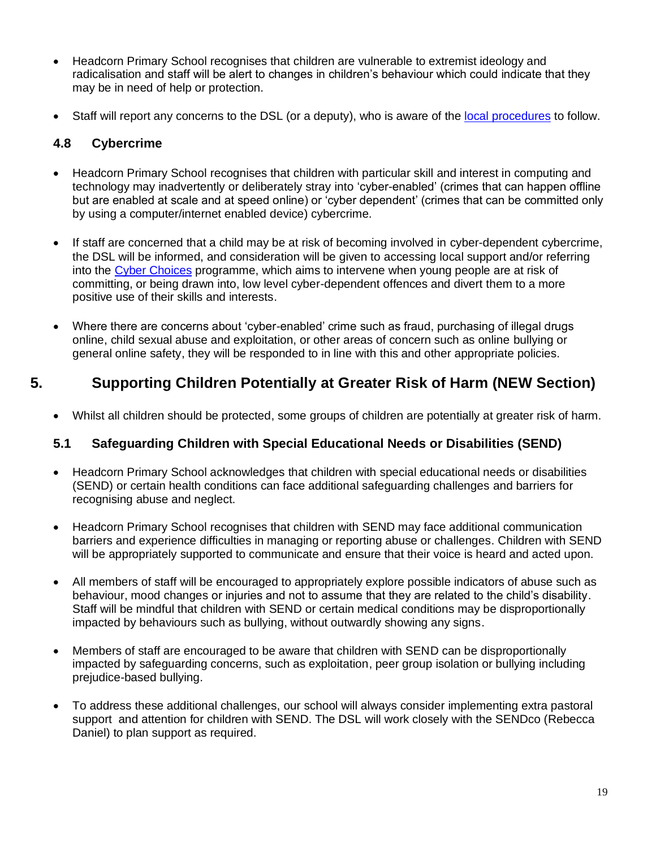- Headcorn Primary School recognises that children are vulnerable to extremist ideology and radicalisation and staff will be alert to changes in children's behaviour which could indicate that they may be in need of help or protection.
- Staff will report any concerns to the DSL (or a deputy), who is aware of the <u>local procedures</u> to follow.

# **4.8 Cybercrime**

- Headcorn Primary School recognises that children with particular skill and interest in computing and technology may inadvertently or deliberately stray into 'cyber-enabled' (crimes that can happen offline but are enabled at scale and at speed online) or 'cyber dependent' (crimes that can be committed only by using a computer/internet enabled device) cybercrime.
- If staff are concerned that a child may be at risk of becoming involved in cyber-dependent cybercrime, the DSL will be informed, and consideration will be given to accessing local support and/or referring into the [Cyber Choices](http://www.cyberchoices.uk/) programme, which aims to intervene when young people are at risk of committing, or being drawn into, low level cyber-dependent offences and divert them to a more positive use of their skills and interests.
- Where there are concerns about 'cyber-enabled' crime such as fraud, purchasing of illegal drugs online, child sexual abuse and exploitation, or other areas of concern such as online bullying or general online safety, they will be responded to in line with this and other appropriate policies.

# **5. Supporting Children Potentially at Greater Risk of Harm (NEW Section)**

• Whilst all children should be protected, some groups of children are potentially at greater risk of harm.

# **5.1 Safeguarding Children with Special Educational Needs or Disabilities (SEND)**

- Headcorn Primary School acknowledges that children with special educational needs or disabilities (SEND) or certain health conditions can face additional safeguarding challenges and barriers for recognising abuse and neglect.
- Headcorn Primary School recognises that children with SEND may face additional communication barriers and experience difficulties in managing or reporting abuse or challenges. Children with SEND will be appropriately supported to communicate and ensure that their voice is heard and acted upon.
- All members of staff will be encouraged to appropriately explore possible indicators of abuse such as behaviour, mood changes or injuries and not to assume that they are related to the child's disability. Staff will be mindful that children with SEND or certain medical conditions may be disproportionally impacted by behaviours such as bullying, without outwardly showing any signs.
- Members of staff are encouraged to be aware that children with SEND can be disproportionally impacted by safeguarding concerns, such as exploitation, peer group isolation or bullying including prejudice-based bullying.
- To address these additional challenges, our school will always consider implementing extra pastoral support and attention for children with SEND. The DSL will work closely with the SENDco (Rebecca Daniel) to plan support as required.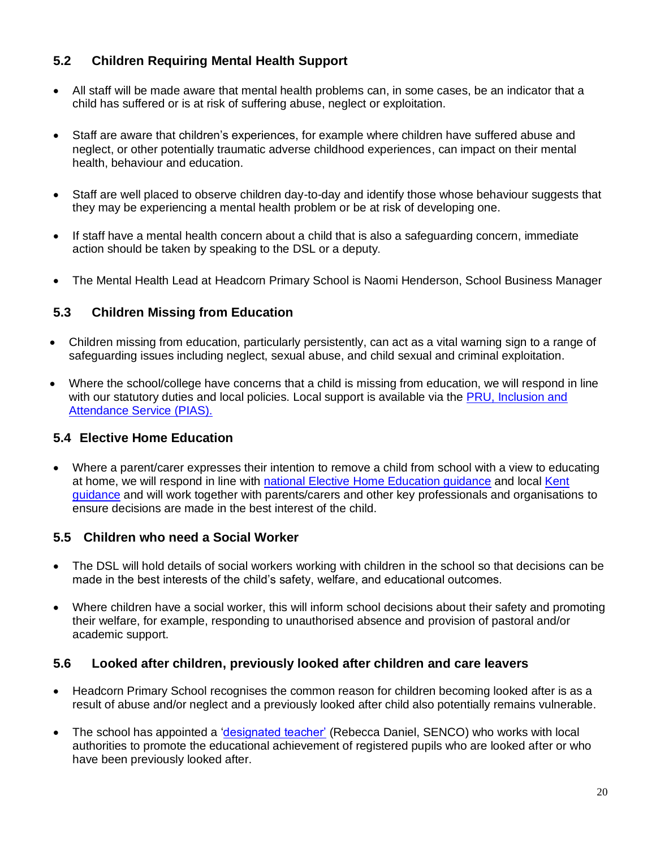# **5.2 Children Requiring Mental Health Support**

- All staff will be made aware that mental health problems can, in some cases, be an indicator that a child has suffered or is at risk of suffering abuse, neglect or exploitation.
- Staff are aware that children's experiences, for example where children have suffered abuse and neglect, or other potentially traumatic adverse childhood experiences, can impact on their mental health, behaviour and education.
- Staff are well placed to observe children day-to-day and identify those whose behaviour suggests that they may be experiencing a mental health problem or be at risk of developing one.
- If staff have a mental health concern about a child that is also a safeguarding concern, immediate action should be taken by speaking to the DSL or a deputy.
- The Mental Health Lead at Headcorn Primary School is Naomi Henderson, School Business Manager

# **5.3 Children Missing from Education**

- Children missing from education, particularly persistently, can act as a vital warning sign to a range of safeguarding issues including neglect, sexual abuse, and child sexual and criminal exploitation.
- Where the school/college have concerns that a child is missing from education, we will respond in line with our statutory duties and local policies. Local support is available via the PRU, Inclusion and [Attendance Service \(PIAS\).](https://www.kelsi.org.uk/pru-inclusion-and-attendance-service-pias)

## **5.4 Elective Home Education**

• Where a parent/carer expresses their intention to remove a child from school with a view to educating at home, we will respond in line with [national Elective Home Education guidance](https://www.gov.uk/government/publications/elective-home-education) and local [Kent](https://www.kent.gov.uk/education-and-children/educating-your-child-at-home) [guidance](https://www.kent.gov.uk/education-and-children/educating-your-child-at-home) and will work together with parents/carers and other key professionals and organisations to ensure decisions are made in the best interest of the child.

## **5.5 Children who need a Social Worker**

- The DSL will hold details of social workers working with children in the school so that decisions can be made in the best interests of the child's safety, welfare, and educational outcomes.
- Where children have a social worker, this will inform school decisions about their safety and promoting their welfare, for example, responding to unauthorised absence and provision of pastoral and/or academic support.

## **5.6 Looked after children, previously looked after children and care leavers**

- Headcorn Primary School recognises the common reason for children becoming looked after is as a result of abuse and/or neglect and a previously looked after child also potentially remains vulnerable.
- The school has appointed a ['designated teacher'](https://www.gov.uk/government/publications/designated-teacher-for-looked-after-children) (Rebecca Daniel, SENCO) who works with local authorities to promote the educational achievement of registered pupils who are looked after or who have been previously looked after.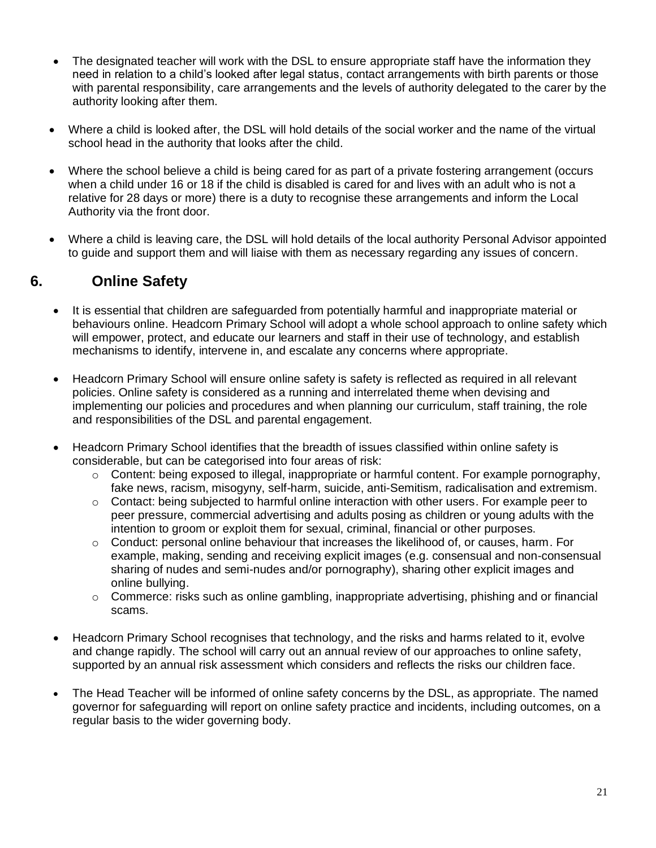- The designated teacher will work with the DSL to ensure appropriate staff have the information they need in relation to a child's looked after legal status, contact arrangements with birth parents or those with parental responsibility, care arrangements and the levels of authority delegated to the carer by the authority looking after them.
- Where a child is looked after, the DSL will hold details of the social worker and the name of the virtual school head in the authority that looks after the child.
- Where the school believe a child is being cared for as part of a private fostering arrangement (occurs when a child under 16 or 18 if the child is disabled is cared for and lives with an adult who is not a relative for 28 days or more) there is a duty to recognise these arrangements and inform the Local Authority via the front door.
- Where a child is leaving care, the DSL will hold details of the local authority Personal Advisor appointed to guide and support them and will liaise with them as necessary regarding any issues of concern.

# **6. Online Safety**

- It is essential that children are safeguarded from potentially harmful and inappropriate material or behaviours online. Headcorn Primary School will adopt a whole school approach to online safety which will empower, protect, and educate our learners and staff in their use of technology, and establish mechanisms to identify, intervene in, and escalate any concerns where appropriate.
- Headcorn Primary School will ensure online safety is safety is reflected as required in all relevant policies. Online safety is considered as a running and interrelated theme when devising and implementing our policies and procedures and when planning our curriculum, staff training, the role and responsibilities of the DSL and parental engagement.
- Headcorn Primary School identifies that the breadth of issues classified within online safety is considerable, but can be categorised into four areas of risk:
	- $\circ$  Content: being exposed to illegal, inappropriate or harmful content. For example pornography, fake news, racism, misogyny, self-harm, suicide, anti-Semitism, radicalisation and extremism.
	- $\circ$  Contact: being subjected to harmful online interaction with other users. For example peer to peer pressure, commercial advertising and adults posing as children or young adults with the intention to groom or exploit them for sexual, criminal, financial or other purposes.
	- o Conduct: personal online behaviour that increases the likelihood of, or causes, harm. For example, making, sending and receiving explicit images (e.g. consensual and non-consensual sharing of nudes and semi-nudes and/or pornography), sharing other explicit images and online bullying.
	- $\circ$  Commerce: risks such as online gambling, inappropriate advertising, phishing and or financial scams.
- Headcorn Primary School recognises that technology, and the risks and harms related to it, evolve and change rapidly. The school will carry out an annual review of our approaches to online safety, supported by an annual risk assessment which considers and reflects the risks our children face.
- The Head Teacher will be informed of online safety concerns by the DSL, as appropriate. The named governor for safeguarding will report on online safety practice and incidents, including outcomes, on a regular basis to the wider governing body.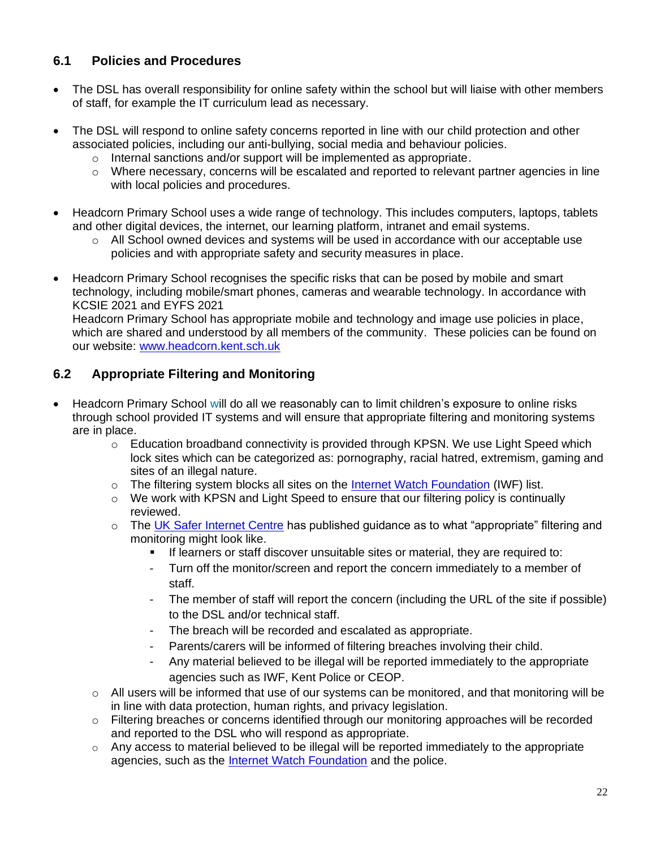# **6.1 Policies and Procedures**

- The DSL has overall responsibility for online safety within the school but will liaise with other members of staff, for example the IT curriculum lead as necessary.
- The DSL will respond to online safety concerns reported in line with our child protection and other associated policies, including our anti-bullying, social media and behaviour policies.
	- o Internal sanctions and/or support will be implemented as appropriate.
	- o Where necessary, concerns will be escalated and reported to relevant partner agencies in line with local policies and procedures.
- Headcorn Primary School uses a wide range of technology. This includes computers, laptops, tablets and other digital devices, the internet, our learning platform, intranet and email systems.
	- $\circ$  All School owned devices and systems will be used in accordance with our acceptable use policies and with appropriate safety and security measures in place.
- Headcorn Primary School recognises the specific risks that can be posed by mobile and smart technology, including mobile/smart phones, cameras and wearable technology. In accordance with KCSIE 2021 and EYFS 2021 Headcorn Primary School has appropriate mobile and technology and image use policies in place, which are shared and understood by all members of the community.These policies can be found on our website: [www.headcorn.kent.sch.uk](http://www.headcorn.kent.sch.uk/)

# **6.2 Appropriate Filtering and Monitoring**

- Headcorn Primary School will do all we reasonably can to limit children's exposure to online risks through school provided IT systems and will ensure that appropriate filtering and monitoring systems are in place.
	- $\circ$  Education broadband connectivity is provided through KPSN. We use Light Speed which lock sites which can be categorized as: pornography, racial hatred, extremism, gaming and sites of an illegal nature.
	- $\circ$  The filtering system blocks all sites on the [Internet Watch Foundation](https://www.iwf.org.uk/) (IWF) list.
	- $\circ$  We work with KPSN and Light Speed to ensure that our filtering policy is continually reviewed.
	- $\circ$  The [UK Safer Internet Centre](http://www.saferinternet.org.uk/appropriate-filtering-and-monitoring) has published quidance as to what "appropriate" filtering and monitoring might look like.
		- If learners or staff discover unsuitable sites or material, they are required to:
		- Turn off the monitor/screen and report the concern immediately to a member of staff.
		- The member of staff will report the concern (including the URL of the site if possible) to the DSL and/or technical staff.
		- The breach will be recorded and escalated as appropriate.
		- Parents/carers will be informed of filtering breaches involving their child.
		- Any material believed to be illegal will be reported immediately to the appropriate agencies such as IWF, Kent Police or CEOP.
	- o All users will be informed that use of our systems can be monitored, and that monitoring will be in line with data protection, human rights, and privacy legislation.
	- $\circ$  Filtering breaches or concerns identified through our monitoring approaches will be recorded and reported to the DSL who will respond as appropriate.
	- $\circ$  Any access to material believed to be illegal will be reported immediately to the appropriate agencies, such as the [Internet Watch Foundation](https://www.iwf.org.uk/) and the police.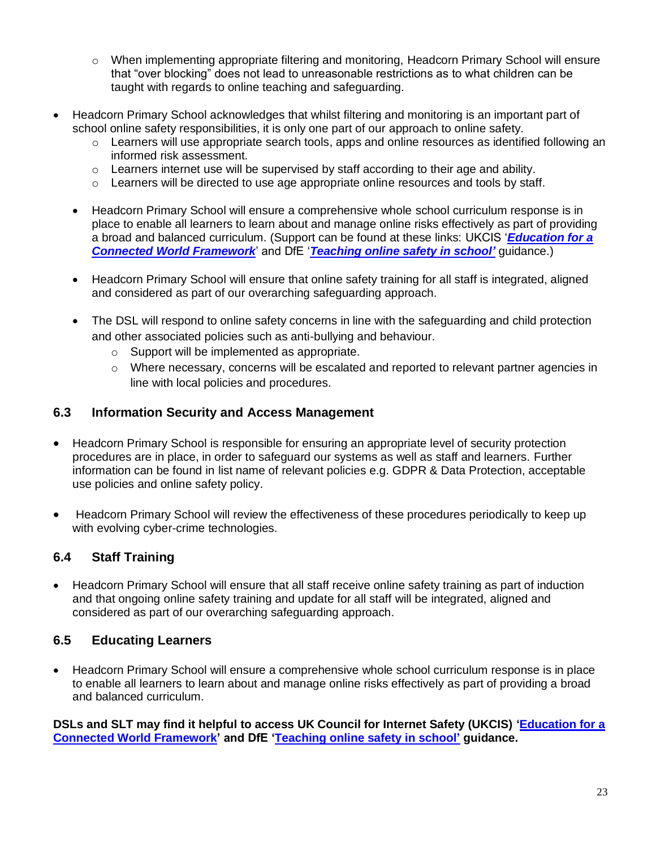- $\circ$  When implementing appropriate filtering and monitoring, Headcorn Primary School will ensure that "over blocking" does not lead to unreasonable restrictions as to what children can be taught with regards to online teaching and safeguarding.
- Headcorn Primary School acknowledges that whilst filtering and monitoring is an important part of school online safety responsibilities, it is only one part of our approach to online safety.
	- $\circ$  Learners will use appropriate search tools, apps and online resources as identified following an informed risk assessment.
	- $\circ$  Learners internet use will be supervised by staff according to their age and ability.
	- $\circ$  Learners will be directed to use age appropriate online resources and tools by staff.
	- Headcorn Primary School will ensure a comprehensive whole school curriculum response is in place to enable all learners to learn about and manage online risks effectively as part of providing a broad and balanced curriculum. (Support can be found at these links: UKCIS '*[Education for a](https://www.gov.uk/government/publications/education-for-a-connected-world)  [Connected World Framework](https://www.gov.uk/government/publications/education-for-a-connected-world)*' and DfE '*[Teaching online safety in school'](https://www.gov.uk/government/publications/teaching-online-safety-in-schools)* guidance.)
	- Headcorn Primary School will ensure that online safety training for all staff is integrated, aligned and considered as part of our overarching safeguarding approach.
	- The DSL will respond to online safety concerns in line with the safeguarding and child protection and other associated policies such as anti-bullying and behaviour.
		- o Support will be implemented as appropriate.
		- $\circ$  Where necessary, concerns will be escalated and reported to relevant partner agencies in line with local policies and procedures.

# **6.3 Information Security and Access Management**

- Headcorn Primary School is responsible for ensuring an appropriate level of security protection procedures are in place, in order to safeguard our systems as well as staff and learners. Further information can be found in list name of relevant policies e.g. GDPR & Data Protection, acceptable use policies and online safety policy.
- Headcorn Primary School will review the effectiveness of these procedures periodically to keep up with evolving cyber-crime technologies.

# **6.4 Staff Training**

• Headcorn Primary School will ensure that all staff receive online safety training as part of induction and that ongoing online safety training and update for all staff will be integrated, aligned and considered as part of our overarching safeguarding approach.

# **6.5 Educating Learners**

• Headcorn Primary School will ensure a comprehensive whole school curriculum response is in place to enable all learners to learn about and manage online risks effectively as part of providing a broad and balanced curriculum.

**DSLs and SLT may find it helpful to access UK Council for Internet Safety (UKCIS) ['Education for a](https://www.gov.uk/government/publications/education-for-a-connected-world)  [Connected World Framework'](https://www.gov.uk/government/publications/education-for-a-connected-world) and DfE ['Teaching online safety in school'](https://www.gov.uk/government/publications/teaching-online-safety-in-schools) guidance.**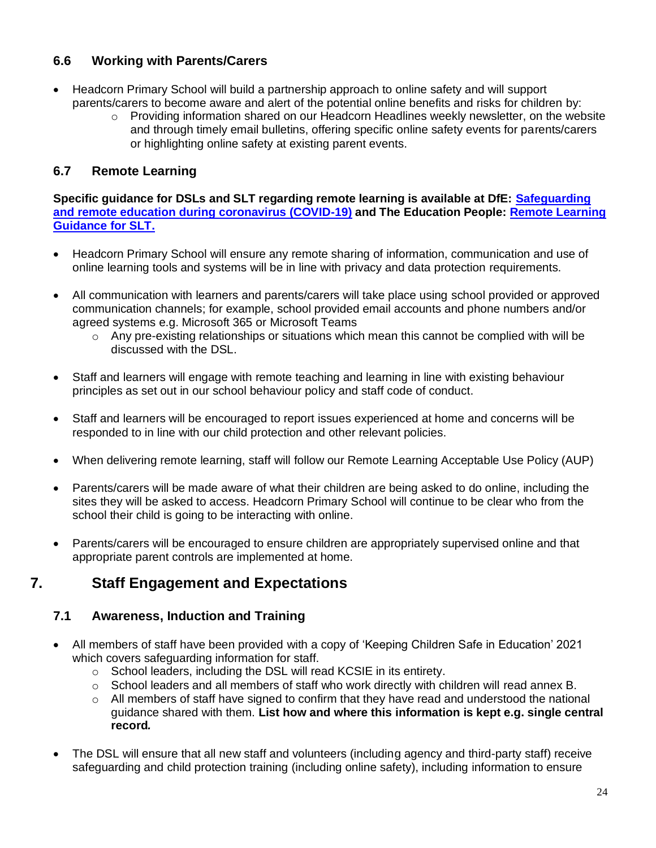# **6.6 Working with Parents/Carers**

- Headcorn Primary School will build a partnership approach to online safety and will support parents/carers to become aware and alert of the potential online benefits and risks for children by:
	- o Providing information shared on our Headcorn Headlines weekly newsletter, on the website and through timely email bulletins, offering specific online safety events for parents/carers or highlighting online safety at existing parent events.

# **6.7 Remote Learning**

**Specific guidance for DSLs and SLT regarding remote learning is available at DfE: [Safeguarding](https://www.gov.uk/guidance/safeguarding-and-remote-education-during-coronavirus-covid-19)  [and remote education during coronavirus \(COVID-19\)](https://www.gov.uk/guidance/safeguarding-and-remote-education-during-coronavirus-covid-19) and The Education People: [Remote Learning](https://www.theeducationpeople.org/blog/safer-remote-learning-during-covid-19-information-for-school-leaders-and-dsls/)  [Guidance for SLT.](https://www.theeducationpeople.org/blog/safer-remote-learning-during-covid-19-information-for-school-leaders-and-dsls/)**

- Headcorn Primary School will ensure any remote sharing of information, communication and use of online learning tools and systems will be in line with privacy and data protection requirements.
- All communication with learners and parents/carers will take place using school provided or approved communication channels; for example, school provided email accounts and phone numbers and/or agreed systems e.g. Microsoft 365 or Microsoft Teams
	- $\circ$  Any pre-existing relationships or situations which mean this cannot be complied with will be discussed with the DSL.
- Staff and learners will engage with remote teaching and learning in line with existing behaviour principles as set out in our school behaviour policy and staff code of conduct.
- Staff and learners will be encouraged to report issues experienced at home and concerns will be responded to in line with our child protection and other relevant policies.
- When delivering remote learning, staff will follow our Remote Learning Acceptable Use Policy (AUP)
- Parents/carers will be made aware of what their children are being asked to do online, including the sites they will be asked to access. Headcorn Primary School will continue to be clear who from the school their child is going to be interacting with online.
- Parents/carers will be encouraged to ensure children are appropriately supervised online and that appropriate parent controls are implemented at home.

# **7. Staff Engagement and Expectations**

# **7.1 Awareness, Induction and Training**

- All members of staff have been provided with a copy of 'Keeping Children Safe in Education' 2021 which covers safeguarding information for staff.
	- o School leaders, including the DSL will read KCSIE in its entirety.
	- $\circ$  School leaders and all members of staff who work directly with children will read annex B.
	- $\circ$  All members of staff have signed to confirm that they have read and understood the national guidance shared with them. **List how and where this information is kept e.g. single central record***.*
- The DSL will ensure that all new staff and volunteers (including agency and third-party staff) receive safeguarding and child protection training (including online safety), including information to ensure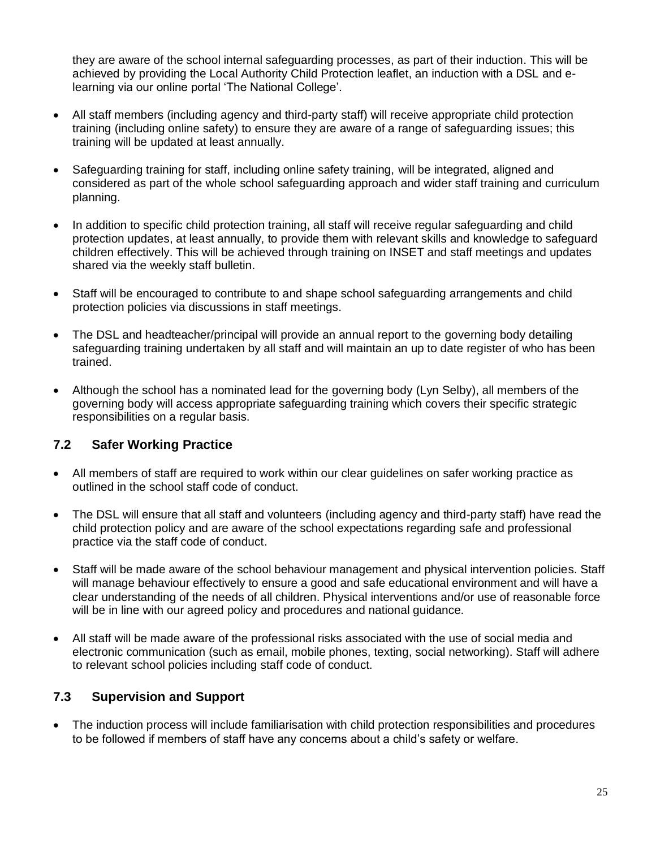they are aware of the school internal safeguarding processes, as part of their induction. This will be achieved by providing the Local Authority Child Protection leaflet, an induction with a DSL and elearning via our online portal 'The National College'.

- All staff members (including agency and third-party staff) will receive appropriate child protection training (including online safety) to ensure they are aware of a range of safeguarding issues; this training will be updated at least annually.
- Safeguarding training for staff, including online safety training, will be integrated, aligned and considered as part of the whole school safeguarding approach and wider staff training and curriculum planning.
- In addition to specific child protection training, all staff will receive regular safeguarding and child protection updates, at least annually, to provide them with relevant skills and knowledge to safeguard children effectively. This will be achieved through training on INSET and staff meetings and updates shared via the weekly staff bulletin.
- Staff will be encouraged to contribute to and shape school safeguarding arrangements and child protection policies via discussions in staff meetings.
- The DSL and headteacher/principal will provide an annual report to the governing body detailing safeguarding training undertaken by all staff and will maintain an up to date register of who has been trained.
- Although the school has a nominated lead for the governing body (Lyn Selby), all members of the governing body will access appropriate safeguarding training which covers their specific strategic responsibilities on a regular basis.

# **7.2 Safer Working Practice**

- All members of staff are required to work within our clear guidelines on safer working practice as outlined in the school staff code of conduct.
- The DSL will ensure that all staff and volunteers (including agency and third-party staff) have read the child protection policy and are aware of the school expectations regarding safe and professional practice via the staff code of conduct.
- Staff will be made aware of the school behaviour management and physical intervention policies. Staff will manage behaviour effectively to ensure a good and safe educational environment and will have a clear understanding of the needs of all children. Physical interventions and/or use of reasonable force will be in line with our agreed policy and procedures and national guidance.
- All staff will be made aware of the professional risks associated with the use of social media and electronic communication (such as email, mobile phones, texting, social networking). Staff will adhere to relevant school policies including staff code of conduct.

# **7.3 Supervision and Support**

• The induction process will include familiarisation with child protection responsibilities and procedures to be followed if members of staff have any concerns about a child's safety or welfare.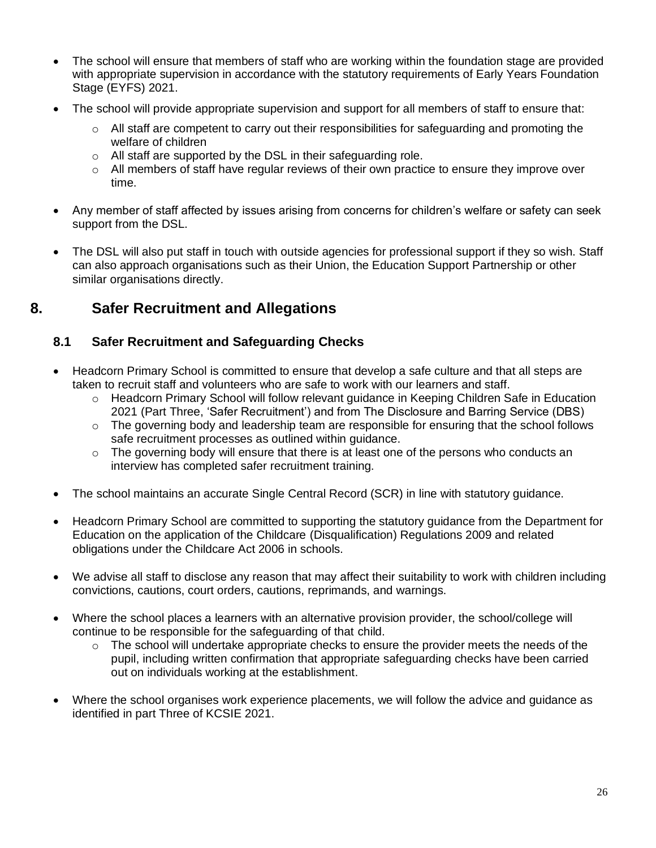- The school will ensure that members of staff who are working within the foundation stage are provided with appropriate supervision in accordance with the statutory requirements of Early Years Foundation Stage (EYFS) 2021.
- The school will provide appropriate supervision and support for all members of staff to ensure that:
	- $\circ$  All staff are competent to carry out their responsibilities for safeguarding and promoting the welfare of children
	- o All staff are supported by the DSL in their safeguarding role.
	- $\circ$  All members of staff have regular reviews of their own practice to ensure they improve over time.
- Any member of staff affected by issues arising from concerns for children's welfare or safety can seek support from the DSL.
- The DSL will also put staff in touch with outside agencies for professional support if they so wish. Staff can also approach organisations such as their Union, the Education Support Partnership or other similar organisations directly.

# **8. Safer Recruitment and Allegations**

# **8.1 Safer Recruitment and Safeguarding Checks**

- Headcorn Primary School is committed to ensure that develop a safe culture and that all steps are taken to recruit staff and volunteers who are safe to work with our learners and staff.
	- o Headcorn Primary School will follow relevant guidance in Keeping Children Safe in Education 2021 (Part Three, 'Safer Recruitment') and from The Disclosure and Barring Service (DBS)
	- $\circ$  The governing body and leadership team are responsible for ensuring that the school follows safe recruitment processes as outlined within guidance.
	- $\circ$  The governing body will ensure that there is at least one of the persons who conducts an interview has completed safer recruitment training.
- The school maintains an accurate Single Central Record (SCR) in line with statutory guidance.
- Headcorn Primary School are committed to supporting the statutory guidance from the Department for Education on the application of the Childcare (Disqualification) Regulations 2009 and related obligations under the Childcare Act 2006 in schools.
- We advise all staff to disclose any reason that may affect their suitability to work with children including convictions, cautions, court orders, cautions, reprimands, and warnings.
- Where the school places a learners with an alternative provision provider, the school/college will continue to be responsible for the safeguarding of that child.
	- $\circ$  The school will undertake appropriate checks to ensure the provider meets the needs of the pupil, including written confirmation that appropriate safeguarding checks have been carried out on individuals working at the establishment.
- Where the school organises work experience placements, we will follow the advice and guidance as identified in part Three of KCSIE 2021.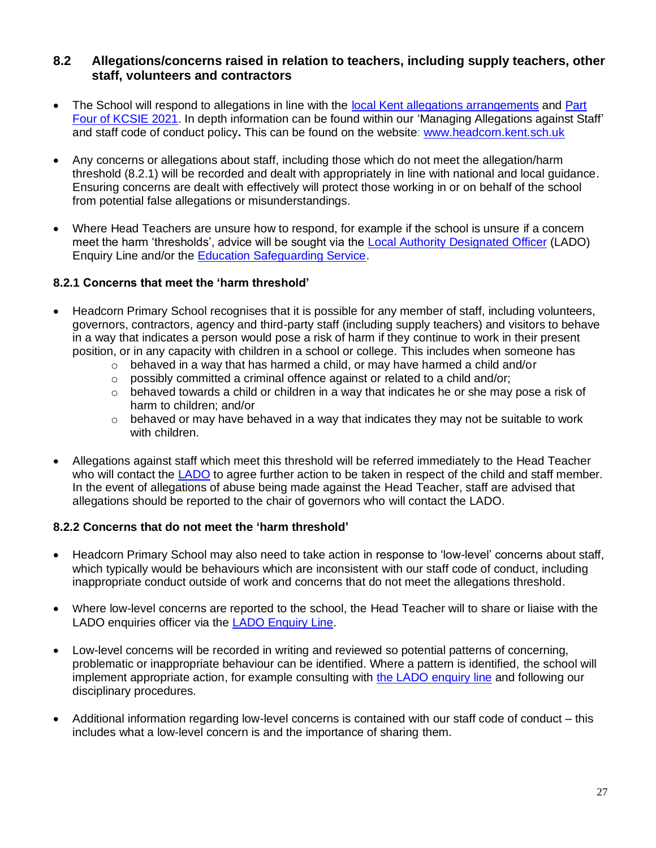## **8.2 Allegations/concerns raised in relation to teachers, including supply teachers, other staff, volunteers and contractors**

- The School will respond to allegations in line with the local Kent allegations [arrangements](https://www.kscmp.org.uk/procedures/local-authority-designated-officer-lado) and Part [Four of KCSIE 2021.](https://www.gov.uk/government/publications/keeping-children-safe-in-education--2) In depth information can be found within our 'Managing Allegations against Staff' and staff code of conduct policy**.** This can be found on the website: [www.headcorn.kent.sch.uk](http://www.headcorn.kent.sch.uk/)
- Any concerns or allegations about staff, including those which do not meet the allegation/harm threshold (8.2.1) will be recorded and dealt with appropriately in line with national and local guidance. Ensuring concerns are dealt with effectively will protect those working in or on behalf of the school from potential false allegations or misunderstandings.
- Where Head Teachers are unsure how to respond, for example if the school is unsure if a concern meet the harm 'thresholds', advice will be sought via the [Local Authority Designated Officer](https://www.kscmp.org.uk/procedures/local-authority-designated-officer-lado) (LADO) Enquiry Line and/or the [Education Safeguarding Service.](https://www.theeducationpeople.org/our-expertise/safeguarding/safeguarding-contacts/)

#### **8.2.1 Concerns that meet the 'harm threshold'**

- Headcorn Primary School recognises that it is possible for any member of staff, including volunteers, governors, contractors, agency and third-party staff (including supply teachers) and visitors to behave in a way that indicates a person would pose a risk of harm if they continue to work in their present position, or in any capacity with children in a school or college. This includes when someone has
	- $\circ$  behaved in a way that has harmed a child, or may have harmed a child and/or
	- o possibly committed a criminal offence against or related to a child and/or;
	- $\circ$  behaved towards a child or children in a way that indicates he or she may pose a risk of harm to children; and/or
	- $\circ$  behaved or may have behaved in a way that indicates they may not be suitable to work with children.
- Allegations against staff which meet this threshold will be referred immediately to the Head Teacher who will contact the [LADO](https://www.kscmp.org.uk/procedures/local-authority-designated-officer-lado) to agree further action to be taken in respect of the child and staff member. In the event of allegations of abuse being made against the Head Teacher, staff are advised that allegations should be reported to the chair of governors who will contact the LADO.

## **8.2.2 Concerns that do not meet the 'harm threshold'**

- Headcorn Primary School may also need to take action in response to 'low-level' concerns about staff, which typically would be behaviours which are inconsistent with our staff code of conduct, including inappropriate conduct outside of work and concerns that do not meet the allegations threshold.
- Where low-level concerns are reported to the school, the Head Teacher will to share or liaise with the LADO enquiries officer via the [LADO Enquiry Line.](https://eur01.safelinks.protection.outlook.com/?url=https%3A%2F%2Fwww.kscmp.org.uk%2Fprocedures%2Flocal-authority-designated-officer-lado&data=04%7C01%7CAlison.Watling%40kent.gov.uk%7Cefd47327a4fa4b3a972708d950d61f12%7C3253a20dc7354bfea8b73e6ab37f5f90%7C0%7C0%7C637629703166084747%7CUnknown%7CTWFpbGZsb3d8eyJWIjoiMC4wLjAwMDAiLCJQIjoiV2luMzIiLCJBTiI6Ik1haWwiLCJXVCI6Mn0%3D%7C1000&sdata=gh4qmYZ5N3khjaixDrEVQntTOJ74wGAlZxO%2FQDEudf0%3D&reserved=0)
- Low-level concerns will be recorded in writing and reviewed so potential patterns of concerning, problematic or inappropriate behaviour can be identified. Where a pattern is identified, the school will implement appropriate action, for example consulting with the LADO [enquiry line](https://www.kscmp.org.uk/procedures/local-authority-designated-officer-lado) and following our disciplinary procedures.
- Additional information regarding low-level concerns is contained with our staff code of conduct this includes what a low-level concern is and the importance of sharing them.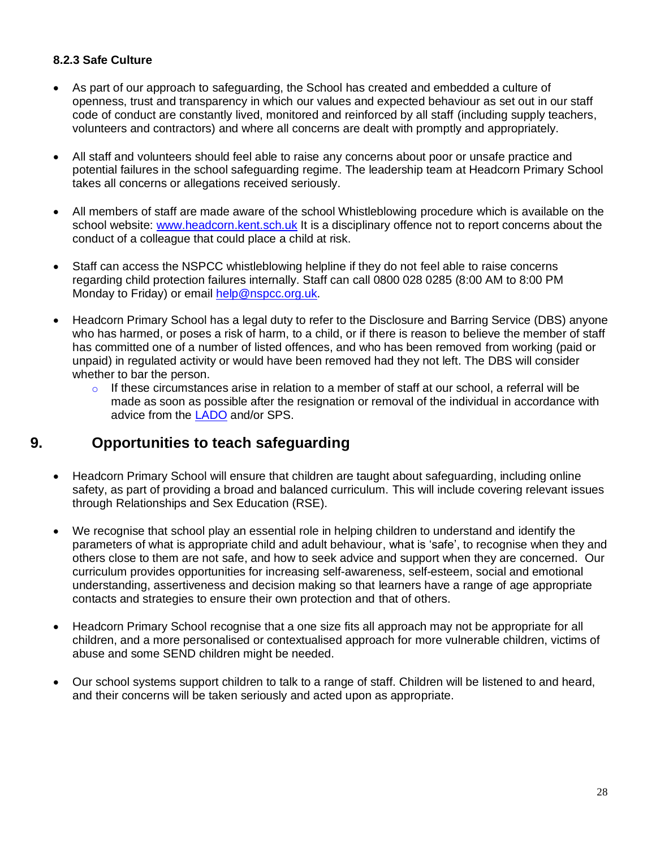#### **8.2.3 Safe Culture**

- As part of our approach to safeguarding, the School has created and embedded a culture of openness, trust and transparency in which our values and expected behaviour as set out in our staff code of conduct are constantly lived, monitored and reinforced by all staff (including supply teachers, volunteers and contractors) and where all concerns are dealt with promptly and appropriately.
- All staff and volunteers should feel able to raise any concerns about poor or unsafe practice and potential failures in the school safeguarding regime. The leadership team at Headcorn Primary School takes all concerns or allegations received seriously.
- All members of staff are made aware of the school Whistleblowing procedure which is available on the school website: [www.headcorn.kent.sch.uk](http://www.headcorn.kent.sch.uk/) It is a disciplinary offence not to report concerns about the conduct of a colleague that could place a child at risk.
- Staff can access the NSPCC whistleblowing helpline if they do not feel able to raise concerns regarding child protection failures internally. Staff can call 0800 028 0285 (8:00 AM to 8:00 PM Monday to Friday) or email [help@nspcc.org.uk.](mailto:help@nspcc.org.uk)
- Headcorn Primary School has a legal duty to refer to the Disclosure and Barring Service (DBS) anyone who has harmed, or poses a risk of harm, to a child, or if there is reason to believe the member of staff has committed one of a number of listed offences, and who has been removed from working (paid or unpaid) in regulated activity or would have been removed had they not left. The DBS will consider whether to bar the person.
	- $\circ$  If these circumstances arise in relation to a member of staff at our school, a referral will be made as soon as possible after the resignation or removal of the individual in accordance with advice from the [LADO](https://www.kscmp.org.uk/procedures/local-authority-designated-officer-lado) and/or SPS.

# **9. Opportunities to teach safeguarding**

- Headcorn Primary School will ensure that children are taught about safeguarding, including online safety, as part of providing a broad and balanced curriculum. This will include covering relevant issues through Relationships and Sex Education (RSE).
- We recognise that school play an essential role in helping children to understand and identify the parameters of what is appropriate child and adult behaviour, what is 'safe', to recognise when they and others close to them are not safe, and how to seek advice and support when they are concerned. Our curriculum provides opportunities for increasing self-awareness, self-esteem, social and emotional understanding, assertiveness and decision making so that learners have a range of age appropriate contacts and strategies to ensure their own protection and that of others.
- Headcorn Primary School recognise that a one size fits all approach may not be appropriate for all children, and a more personalised or contextualised approach for more vulnerable children, victims of abuse and some SEND children might be needed.
- Our school systems support children to talk to a range of staff. Children will be listened to and heard, and their concerns will be taken seriously and acted upon as appropriate.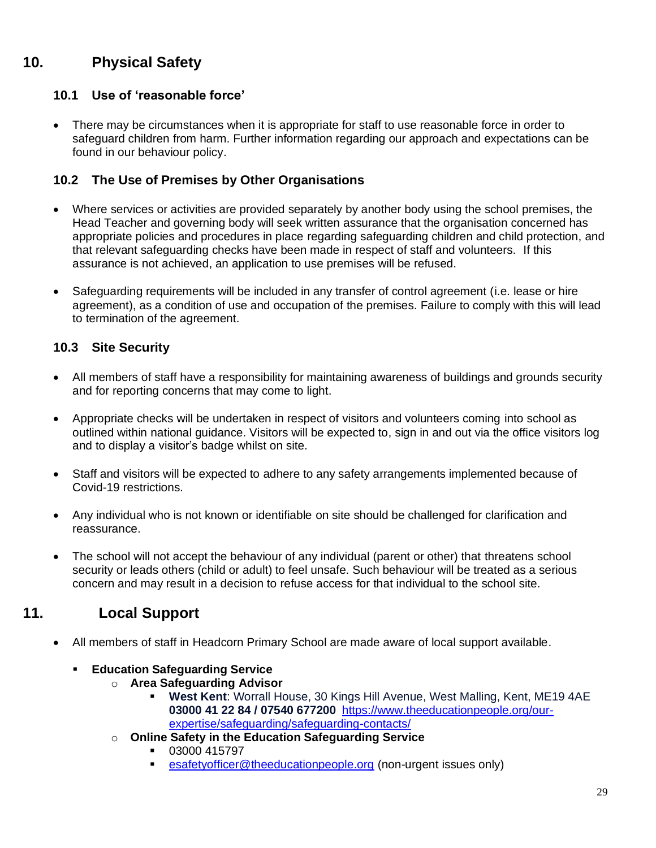# **10. Physical Safety**

# **10.1 Use of 'reasonable force'**

• There may be circumstances when it is appropriate for staff to use reasonable force in order to safeguard children from harm. Further information regarding our approach and expectations can be found in our behaviour policy.

## **10.2 The Use of Premises by Other Organisations**

- Where services or activities are provided separately by another body using the school premises, the Head Teacher and governing body will seek written assurance that the organisation concerned has appropriate policies and procedures in place regarding safeguarding children and child protection, and that relevant safeguarding checks have been made in respect of staff and volunteers. If this assurance is not achieved, an application to use premises will be refused.
- Safeguarding requirements will be included in any transfer of control agreement (i.e. lease or hire agreement), as a condition of use and occupation of the premises. Failure to comply with this will lead to termination of the agreement.

# **10.3 Site Security**

- All members of staff have a responsibility for maintaining awareness of buildings and grounds security and for reporting concerns that may come to light.
- Appropriate checks will be undertaken in respect of visitors and volunteers coming into school as outlined within national guidance. Visitors will be expected to, sign in and out via the office visitors log and to display a visitor's badge whilst on site.
- Staff and visitors will be expected to adhere to any safety arrangements implemented because of Covid-19 restrictions.
- Any individual who is not known or identifiable on site should be challenged for clarification and reassurance.
- The school will not accept the behaviour of any individual (parent or other) that threatens school security or leads others (child or adult) to feel unsafe. Such behaviour will be treated as a serious concern and may result in a decision to refuse access for that individual to the school site.

# **11. Local Support**

• All members of staff in Headcorn Primary School are made aware of local support available.

## ▪ **Education Safeguarding Service**

- o **Area Safeguarding Advisor**
	- **West Kent**: Worrall House, 30 Kings Hill Avenue, West Malling, Kent, ME19 4AE **03000 41 22 84 / 07540 677200** [https://www.theeducationpeople.org/our](https://www.theeducationpeople.org/our-expertise/safeguarding/safeguarding-contacts/)[expertise/safeguarding/safeguarding-contacts/](https://www.theeducationpeople.org/our-expertise/safeguarding/safeguarding-contacts/)
- o **Online Safety in the Education Safeguarding Service**
	- 03000 415797
	- [esafetyofficer@theeducationpeople.org](mailto:esafetyofficer@theeducationpeople.org) (non-urgent issues only)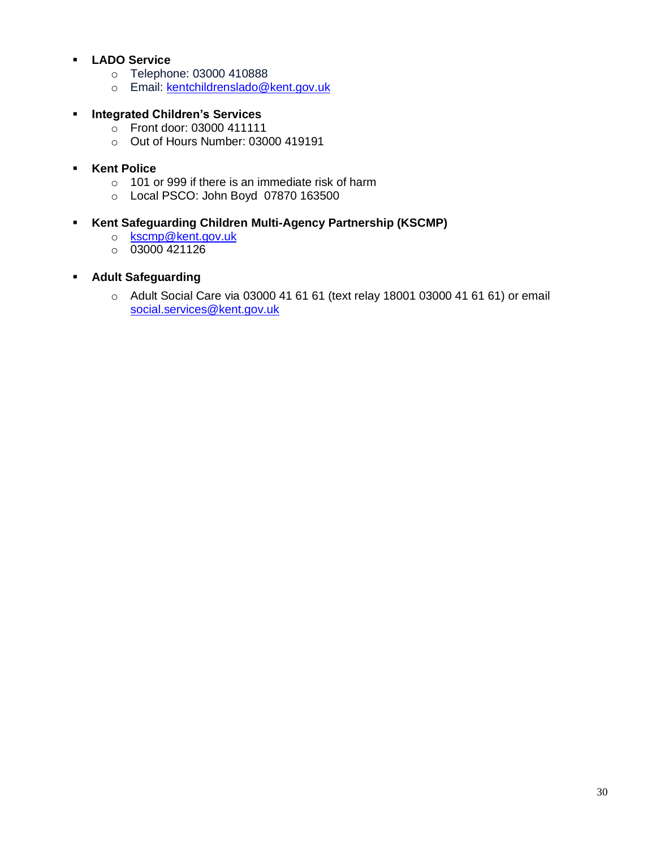## ▪ **LADO Service**

- o Telephone: 03000 410888
- o Email: [kentchildrenslado@kent.gov.uk](mailto:kentchildrenslado@kent.gov.uk)

#### ▪ **Integrated Children's Services**

- $\circ$  Front door: 03000 411111
- o Out of Hours Number: 03000 419191

#### ▪ **Kent Police**

- o 101 or 999 if there is an immediate risk of harm
- o Local PSCO: John Boyd 07870 163500

#### ▪ **Kent Safeguarding Children Multi-Agency Partnership (KSCMP)**

- o [kscmp@kent.gov.uk](mailto:kscmp@kent.gov.uk)
- $O$  03000 421126
- **Adult Safeguarding**
	- o Adult Social Care via 03000 41 61 61 (text relay 18001 03000 41 61 61) or email [social.services@kent.gov.uk](mailto:social.services@kent.gov.uk)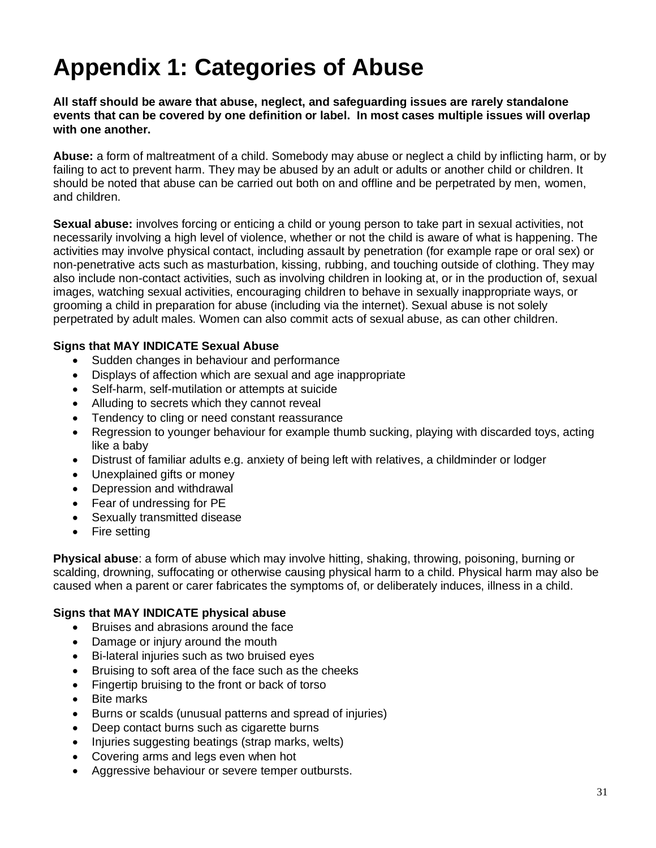# **Appendix 1: Categories of Abuse**

**All staff should be aware that abuse, neglect, and safeguarding issues are rarely standalone events that can be covered by one definition or label. In most cases multiple issues will overlap with one another.**

**Abuse:** a form of maltreatment of a child. Somebody may abuse or neglect a child by inflicting harm, or by failing to act to prevent harm. They may be abused by an adult or adults or another child or children. It should be noted that abuse can be carried out both on and offline and be perpetrated by men, women, and children.

**Sexual abuse:** involves forcing or enticing a child or young person to take part in sexual activities, not necessarily involving a high level of violence, whether or not the child is aware of what is happening. The activities may involve physical contact, including assault by penetration (for example rape or oral sex) or non-penetrative acts such as masturbation, kissing, rubbing, and touching outside of clothing. They may also include non-contact activities, such as involving children in looking at, or in the production of, sexual images, watching sexual activities, encouraging children to behave in sexually inappropriate ways, or grooming a child in preparation for abuse (including via the internet). Sexual abuse is not solely perpetrated by adult males. Women can also commit acts of sexual abuse, as can other children.

#### **Signs that MAY INDICATE Sexual Abuse**

- Sudden changes in behaviour and performance
- Displays of affection which are sexual and age inappropriate
- Self-harm, self-mutilation or attempts at suicide
- Alluding to secrets which they cannot reveal
- Tendency to cling or need constant reassurance
- Regression to younger behaviour for example thumb sucking, playing with discarded toys, acting like a baby
- Distrust of familiar adults e.g. anxiety of being left with relatives, a childminder or lodger
- Unexplained gifts or money
- Depression and withdrawal
- Fear of undressing for PE
- Sexually transmitted disease
- Fire setting

**Physical abuse**: a form of abuse which may involve hitting, shaking, throwing, poisoning, burning or scalding, drowning, suffocating or otherwise causing physical harm to a child. Physical harm may also be caused when a parent or carer fabricates the symptoms of, or deliberately induces, illness in a child.

#### **Signs that MAY INDICATE physical abuse**

- Bruises and abrasions around the face
- Damage or injury around the mouth
- Bi-lateral injuries such as two bruised eyes
- Bruising to soft area of the face such as the cheeks
- Fingertip bruising to the front or back of torso
- Bite marks
- Burns or scalds (unusual patterns and spread of injuries)
- Deep contact burns such as cigarette burns
- Injuries suggesting beatings (strap marks, welts)
- Covering arms and legs even when hot
- Aggressive behaviour or severe temper outbursts.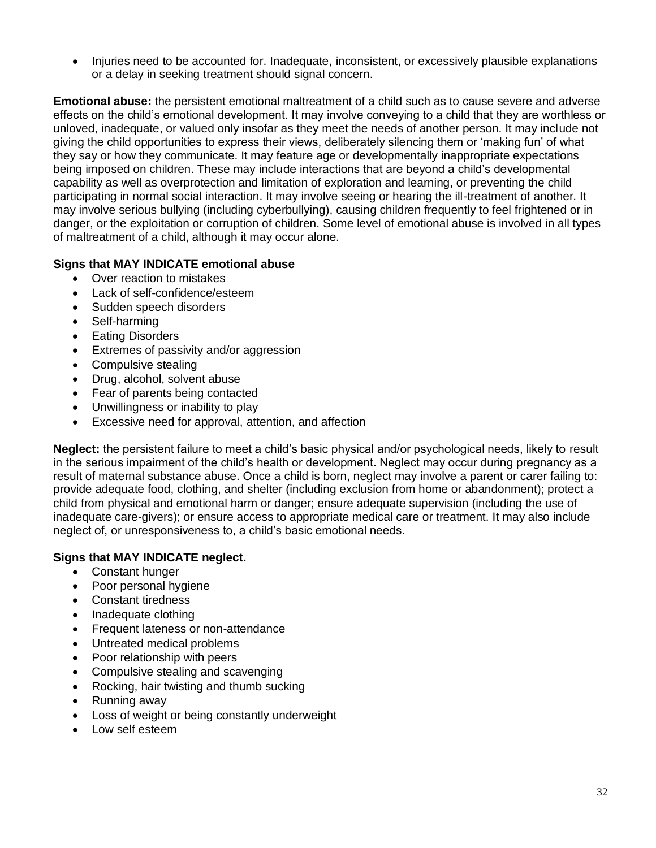• Injuries need to be accounted for. Inadequate, inconsistent, or excessively plausible explanations or a delay in seeking treatment should signal concern.

**Emotional abuse:** the persistent emotional maltreatment of a child such as to cause severe and adverse effects on the child's emotional development. It may involve conveying to a child that they are worthless or unloved, inadequate, or valued only insofar as they meet the needs of another person. It may include not giving the child opportunities to express their views, deliberately silencing them or 'making fun' of what they say or how they communicate. It may feature age or developmentally inappropriate expectations being imposed on children. These may include interactions that are beyond a child's developmental capability as well as overprotection and limitation of exploration and learning, or preventing the child participating in normal social interaction. It may involve seeing or hearing the ill-treatment of another. It may involve serious bullying (including cyberbullying), causing children frequently to feel frightened or in danger, or the exploitation or corruption of children. Some level of emotional abuse is involved in all types of maltreatment of a child, although it may occur alone.

#### **Signs that MAY INDICATE emotional abuse**

- Over reaction to mistakes
- Lack of self-confidence/esteem
- Sudden speech disorders
- Self-harming
- Eating Disorders
- Extremes of passivity and/or aggression
- Compulsive stealing
- Drug, alcohol, solvent abuse
- Fear of parents being contacted
- Unwillingness or inability to play
- Excessive need for approval, attention, and affection

**Neglect:** the persistent failure to meet a child's basic physical and/or psychological needs, likely to result in the serious impairment of the child's health or development. Neglect may occur during pregnancy as a result of maternal substance abuse. Once a child is born, neglect may involve a parent or carer failing to: provide adequate food, clothing, and shelter (including exclusion from home or abandonment); protect a child from physical and emotional harm or danger; ensure adequate supervision (including the use of inadequate care-givers); or ensure access to appropriate medical care or treatment. It may also include neglect of, or unresponsiveness to, a child's basic emotional needs.

## **Signs that MAY INDICATE neglect.**

- Constant hunger
- Poor personal hygiene
- Constant tiredness
- Inadequate clothing
- Frequent lateness or non-attendance
- Untreated medical problems
- Poor relationship with peers
- Compulsive stealing and scavenging
- Rocking, hair twisting and thumb sucking
- Running away
- Loss of weight or being constantly underweight
- Low self esteem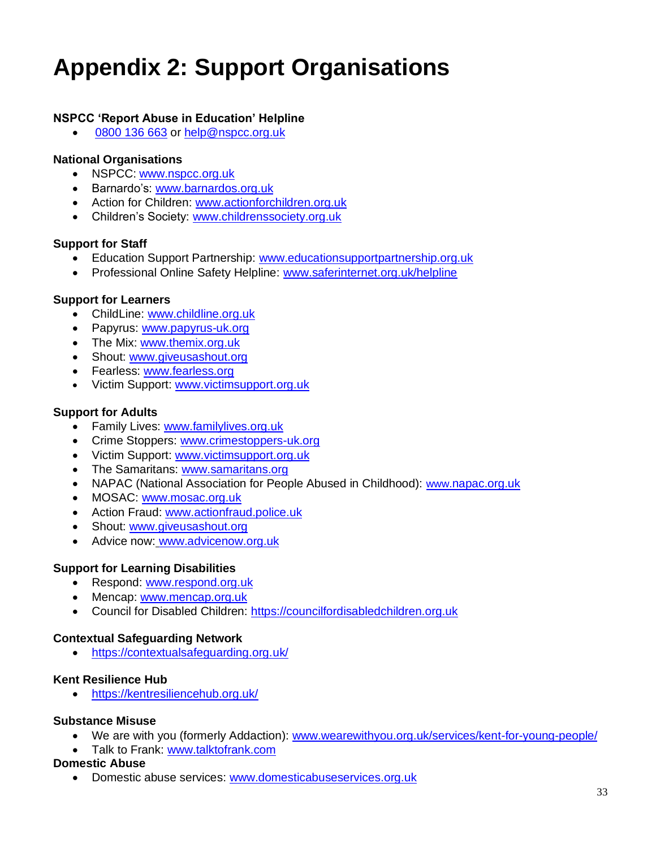# **Appendix 2: Support Organisations**

## **NSPCC 'Report Abuse in Education' Helpline**

[0800 136 663](tel:0800%20136%20663) or [help@nspcc.org.uk](mailto:help@nspcc.org.uk)

#### **National Organisations**

- NSPCC: [www.nspcc.org.uk](http://www.nspcc.org.uk/)
- Barnardo's: [www.barnardos.org.uk](http://www.barnardos.org.uk/)
- Action for Children: [www.actionforchildren.org.uk](http://www.actionforchildren.org.uk/)
- Children's Society: [www.childrenssociety.org.uk](http://www.childrenssociety.org.uk/)

#### **Support for Staff**

- Education Support Partnership: [www.educationsupportpartnership.org.uk](http://www.educationsupportpartnership.org.uk/)
- Professional Online Safety Helpline: [www.saferinternet.org.uk/helpline](http://www.saferinternet.org.uk/helpline)

#### **Support for Learners**

- ChildLine: [www.childline.org.uk](http://www.childline.org.uk/)
- Papyrus: [www.papyrus-uk.org](http://www.papyrus-uk.org/)
- The Mix: [www.themix.org.uk](http://www.themix.org.uk/)
- Shout: [www.giveusashout.org](http://www.giveusashout.org/)
- Fearless: [www.fearless.org](http://www.fearless.org/)
- Victim Support: [www.victimsupport.org.uk](http://www.victimsupport.org.uk/)

#### **Support for Adults**

- Family Lives: [www.familylives.org.uk](http://www.familylives.org.uk/)
- Crime Stoppers: [www.crimestoppers-uk.org](http://www.crimestoppers-uk.org/)
- Victim Support: [www.victimsupport.org.uk](http://www.victimsupport.org.uk/)
- The Samaritans: [www.samaritans.org](http://www.samaritans.org/)
- NAPAC (National Association for People Abused in Childhood): www.napac.org.uk
- MOSAC: [www.mosac.org.uk](http://www.mosac.org.uk/)
- Action Fraud: [www.actionfraud.police.uk](http://www.actionfraud.police.uk/)
- Shout: [www.giveusashout.org](http://www.giveusashout.org/)
- Advice now: www.advicenow.org.uk

#### **Support for Learning Disabilities**

- Respond: [www.respond.org.uk](http://www.respond.org.uk/)
- Mencap: [www.mencap.org.uk](http://www.mencap.org.uk/)
- Council for Disabled Children: [https://councilfordisabledchildren.org.uk](https://councilfordisabledchildren.org.uk/)

#### **Contextual Safeguarding Network**

• <https://contextualsafeguarding.org.uk/>

#### **Kent Resilience Hub**

• <https://kentresiliencehub.org.uk/>

#### **Substance Misuse**

- We are with you (formerly Addaction): [www.wearewithyou.org.uk/services/kent-for-young-people/](http://www.wearewithyou.org.uk/services/kent-for-young-people/)
- Talk to Frank: [www.talktofrank.com](http://www.talktofrank.com/)

#### **Domestic Abuse**

• Domestic abuse services: [www.domesticabuseservices.org.uk](http://www.domesticabuseservices.org.uk/)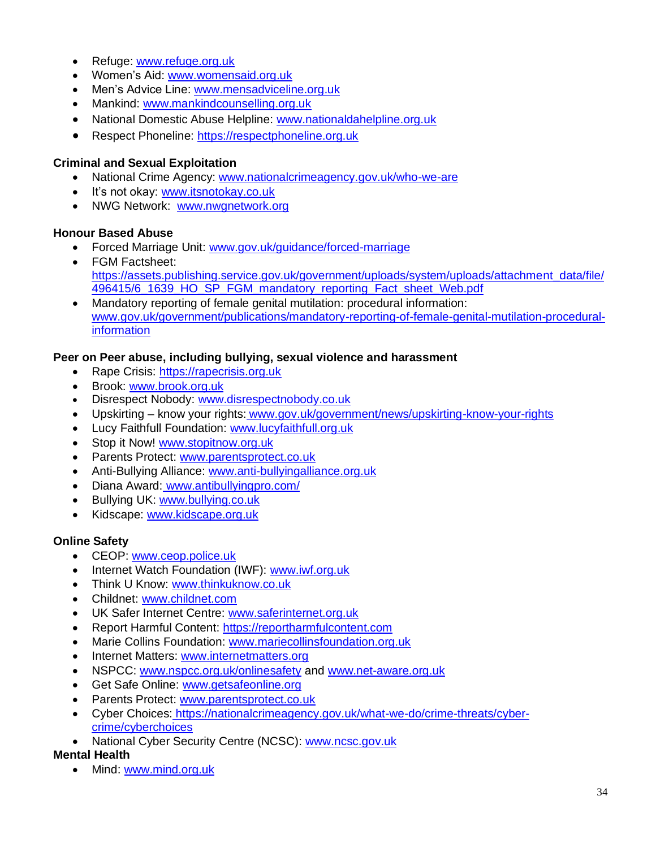- Refuge: [www.refuge.org.uk](http://www.refuge.org.uk/)
- Women's Aid: [www.womensaid.org.uk](http://www.womensaid.org.uk/)
- Men's Advice Line: [www.mensadviceline.org.uk](http://www.mensadviceline.org.uk/)
- Mankind: [www.mankindcounselling.org.uk](http://www.mankindcounselling.org.uk/)
- National Domestic Abuse Helpline: [www.nationaldahelpline.org.uk](http://www.nationaldahelpline.org.uk/)
- Respect Phoneline: [https://respectphoneline.org.uk](https://respectphoneline.org.uk/)

#### **Criminal and Sexual Exploitation**

- National Crime Agency: [www.nationalcrimeagency.gov.uk/who-we-are](http://www.nationalcrimeagency.gov.uk/who-we-are)
- It's not okay: [www.itsnotokay.co.uk](http://www.itsnotokay.co.uk/)
- NWG Network: [www.nwgnetwork.org](http://www.nwgnetwork.org/)

#### **Honour Based Abuse**

- Forced Marriage Unit: [www.gov.uk/guidance/forced-marriage](http://www.gov.uk/guidance/forced-marriage)
- FGM Factsheet: [https://assets.publishing.service.gov.uk/government/uploads/system/uploads/attachment\\_data/file/](https://assets.publishing.service.gov.uk/government/uploads/system/uploads/attachment_data/file/496415/6_1639_HO_SP_FGM_mandatory_reporting_Fact_sheet_Web.pdf) [496415/6\\_1639\\_HO\\_SP\\_FGM\\_mandatory\\_reporting\\_Fact\\_sheet\\_Web.pdf](https://assets.publishing.service.gov.uk/government/uploads/system/uploads/attachment_data/file/496415/6_1639_HO_SP_FGM_mandatory_reporting_Fact_sheet_Web.pdf)
- Mandatory reporting of female genital mutilation: procedural information: [www.gov.uk/government/publications/mandatory-reporting-of-female-genital-mutilation-procedural](http://www.gov.uk/government/publications/mandatory-reporting-of-female-genital-mutilation-procedural-information)[information](http://www.gov.uk/government/publications/mandatory-reporting-of-female-genital-mutilation-procedural-information)

#### **Peer on Peer abuse, including bullying, sexual violence and harassment**

- Rape Crisis: [https://rapecrisis.org.uk](https://rapecrisis.org.uk/)
- Brook: [www.brook.org.uk](http://www.brook.org.uk/)
- Disrespect Nobody: [www.disrespectnobody.co.uk](http://www.disrespectnobody.co.uk/)
- Upskirting know your rights: [www.gov.uk/government/news/upskirting-know-your-rights](http://www.gov.uk/government/news/upskirting-know-your-rights)
- Lucy Faithfull Foundation: [www.lucyfaithfull.org.uk](http://www.lucyfaithfull.org.uk/)
- Stop it Now! [www.stopitnow.org.uk](http://www.stopitnow.org.uk/)
- Parents Protect: [www.parentsprotect.co.uk](http://www.parentsprotect.co.uk/)
- Anti-Bullying Alliance: [www.anti-bullyingalliance.org.uk](http://www.anti-bullyingalliance.org.uk/)
- Diana Award: [www.antibullyingpro.com/](http://www.antibullyingpro.com/)
- Bullying UK: [www.bullying.co.uk](http://www.bullying.co.uk/)
- Kidscape: [www.kidscape.org.uk](http://www.kidscape.org.uk/)

## **Online Safety**

- CEOP: [www.ceop.police.uk](http://www.ceop.police.uk/)
- Internet Watch Foundation (IWF): [www.iwf.org.uk](http://www.iwf.org.uk/)
- Think U Know: [www.thinkuknow.co.uk](http://www.thinkuknow.co.uk/)
- Childnet: [www.childnet.com](http://www.childnet.com/)
- UK Safer Internet Centre: [www.saferinternet.org.uk](http://www.saferinternet.org.uk/)
- Report Harmful Content: [https://reportharmfulcontent.com](https://reportharmfulcontent.com/)
- Marie Collins Foundation: [www.mariecollinsfoundation.org.uk](http://www.mariecollinsfoundation.org.uk/)
- Internet Matters: [www.internetmatters.org](http://www.internetmatters.org/)
- NSPCC: [www.nspcc.org.uk/onlinesafety](http://www.nspcc.org.uk/onlinesafety) and [www.net-aware.org.uk](http://www.net-aware.org.uk/)
- Get Safe Online: [www.getsafeonline.org](https://www.getsafeonline.org/)
- Parents Protect: [www.parentsprotect.co.uk](http://www.parentsprotect.co.uk/)
- Cyber Choices: [https://nationalcrimeagency.gov.uk/what-we-do/crime-threats/cyber](https://nationalcrimeagency.gov.uk/what-we-do/crime-threats/cyber-crime/cyberchoices)[crime/cyberchoices](https://nationalcrimeagency.gov.uk/what-we-do/crime-threats/cyber-crime/cyberchoices)
- National Cyber Security Centre (NCSC): [www.ncsc.gov.uk](http://www.ncsc.gov.uk/)

#### **Mental Health**

• Mind: [www.mind.org.uk](http://www.mind.org.uk/)